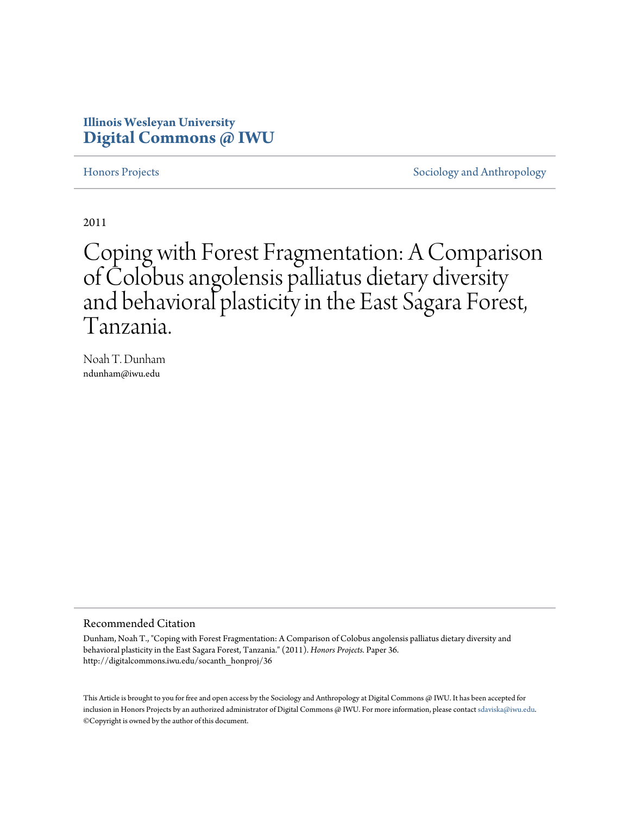# **Illinois Wesleyan University [Digital Commons @ IWU](http://digitalcommons.iwu.edu)**

[Honors Projects](http://digitalcommons.iwu.edu/socanth_honproj) **Sociology** and Anthropology

2011

# Coping with Forest Fragmentation: A Comparison of Colobus angolensis palliatus dietary diversity and behavioral plasticity in the East Sagara Forest, Tanzania.

Noah T. Dunham ndunham@iwu.edu

#### Recommended Citation

Dunham, Noah T., "Coping with Forest Fragmentation: A Comparison of Colobus angolensis palliatus dietary diversity and behavioral plasticity in the East Sagara Forest, Tanzania." (2011). *Honors Projects.* Paper 36. http://digitalcommons.iwu.edu/socanth\_honproj/36

This Article is brought to you for free and open access by the Sociology and Anthropology at Digital Commons @ IWU. It has been accepted for inclusion in Honors Projects by an authorized administrator of Digital Commons @ IWU. For more information, please contact [sdaviska@iwu.edu.](mailto:sdaviska@iwu.edu) ©Copyright is owned by the author of this document.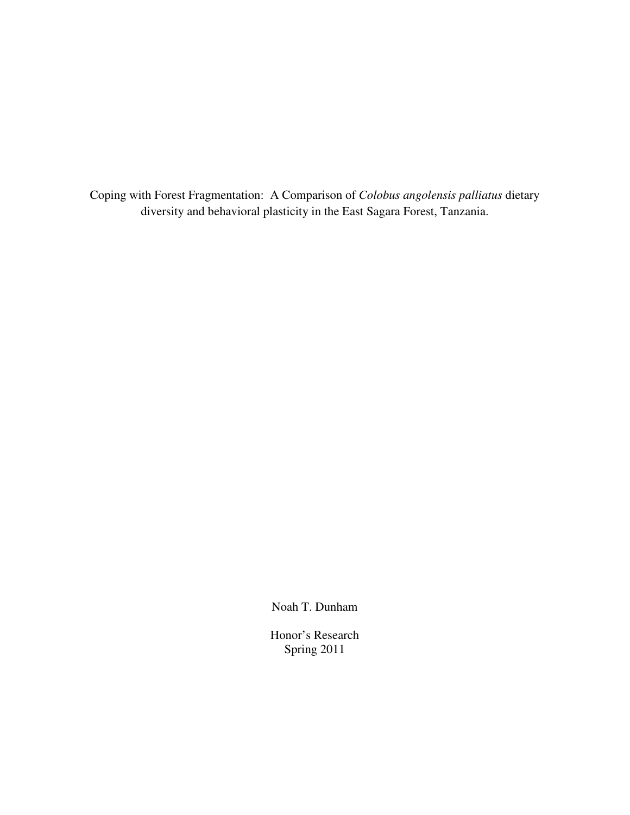Coping with Forest Fragmentation: A Comparison of *Colobus angolensis palliatus* dietary diversity and behavioral plasticity in the East Sagara Forest, Tanzania.

Noah T. Dunham

Honor's Research Spring 2011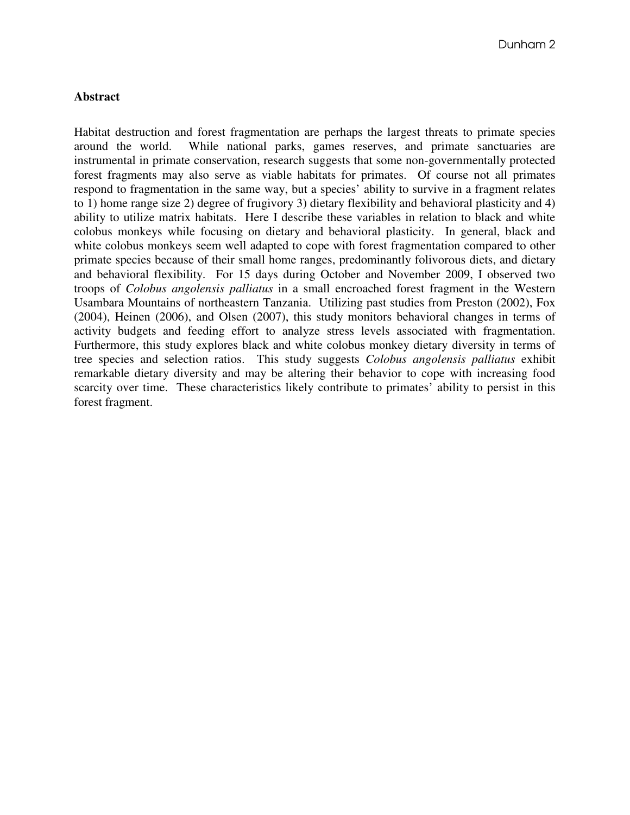#### **Abstract**

Habitat destruction and forest fragmentation are perhaps the largest threats to primate species around the world. While national parks, games reserves, and primate sanctuaries are instrumental in primate conservation, research suggests that some non-governmentally protected forest fragments may also serve as viable habitats for primates. Of course not all primates respond to fragmentation in the same way, but a species' ability to survive in a fragment relates to 1) home range size 2) degree of frugivory 3) dietary flexibility and behavioral plasticity and 4) ability to utilize matrix habitats. Here I describe these variables in relation to black and white colobus monkeys while focusing on dietary and behavioral plasticity. In general, black and white colobus monkeys seem well adapted to cope with forest fragmentation compared to other primate species because of their small home ranges, predominantly folivorous diets, and dietary and behavioral flexibility. For 15 days during October and November 2009, I observed two troops of *Colobus angolensis palliatus* in a small encroached forest fragment in the Western Usambara Mountains of northeastern Tanzania. Utilizing past studies from Preston (2002), Fox (2004), Heinen (2006), and Olsen (2007), this study monitors behavioral changes in terms of activity budgets and feeding effort to analyze stress levels associated with fragmentation. Furthermore, this study explores black and white colobus monkey dietary diversity in terms of tree species and selection ratios. This study suggests *Colobus angolensis palliatus* exhibit remarkable dietary diversity and may be altering their behavior to cope with increasing food scarcity over time. These characteristics likely contribute to primates' ability to persist in this forest fragment.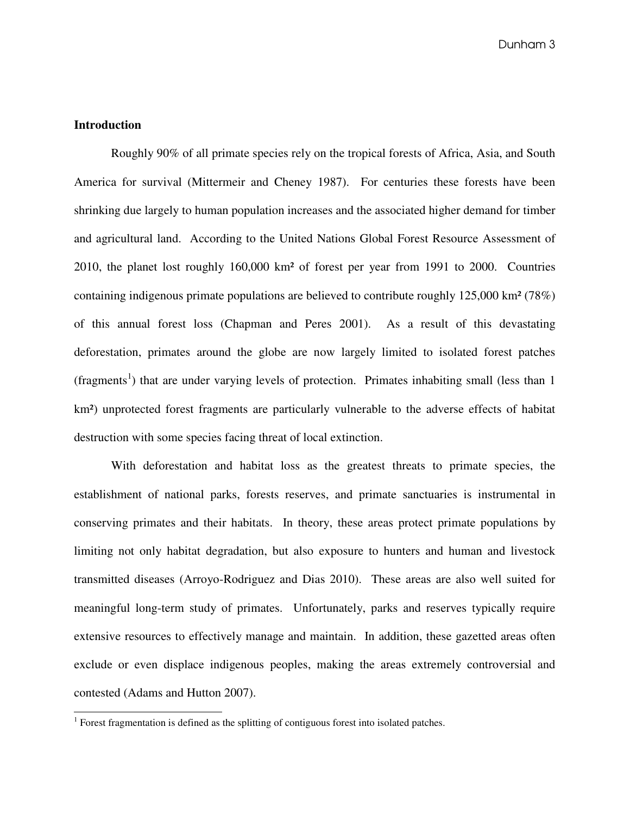# **Introduction**

 $\overline{a}$ 

Roughly 90% of all primate species rely on the tropical forests of Africa, Asia, and South America for survival (Mittermeir and Cheney 1987). For centuries these forests have been shrinking due largely to human population increases and the associated higher demand for timber and agricultural land. According to the United Nations Global Forest Resource Assessment of 2010, the planet lost roughly 160,000 km² of forest per year from 1991 to 2000. Countries containing indigenous primate populations are believed to contribute roughly 125,000 km² (78%) of this annual forest loss (Chapman and Peres 2001). As a result of this devastating deforestation, primates around the globe are now largely limited to isolated forest patches (fragments<sup>1</sup>) that are under varying levels of protection. Primates inhabiting small (less than 1 km²) unprotected forest fragments are particularly vulnerable to the adverse effects of habitat destruction with some species facing threat of local extinction.

With deforestation and habitat loss as the greatest threats to primate species, the establishment of national parks, forests reserves, and primate sanctuaries is instrumental in conserving primates and their habitats. In theory, these areas protect primate populations by limiting not only habitat degradation, but also exposure to hunters and human and livestock transmitted diseases (Arroyo-Rodriguez and Dias 2010). These areas are also well suited for meaningful long-term study of primates. Unfortunately, parks and reserves typically require extensive resources to effectively manage and maintain. In addition, these gazetted areas often exclude or even displace indigenous peoples, making the areas extremely controversial and contested (Adams and Hutton 2007).

<sup>&</sup>lt;sup>1</sup> Forest fragmentation is defined as the splitting of contiguous forest into isolated patches.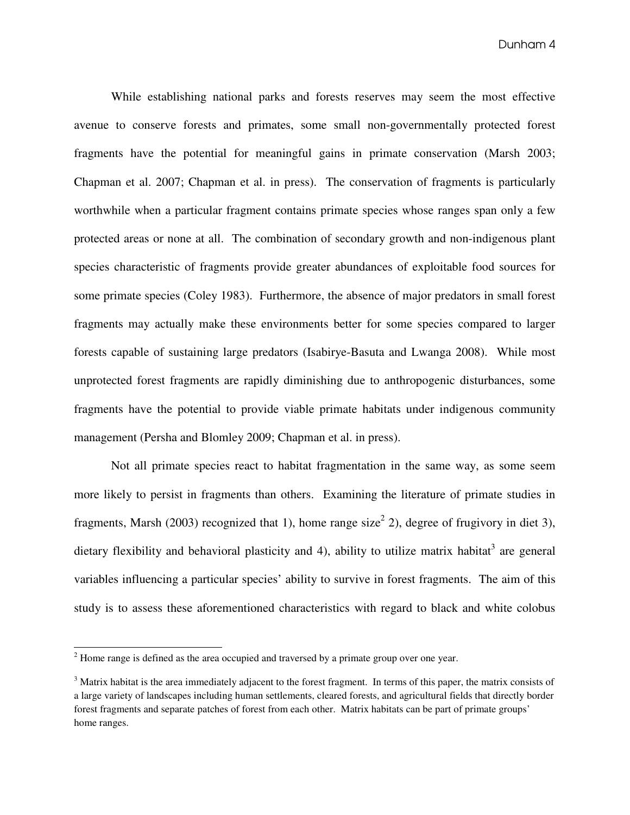While establishing national parks and forests reserves may seem the most effective avenue to conserve forests and primates, some small non-governmentally protected forest fragments have the potential for meaningful gains in primate conservation (Marsh 2003; Chapman et al. 2007; Chapman et al. in press). The conservation of fragments is particularly worthwhile when a particular fragment contains primate species whose ranges span only a few protected areas or none at all. The combination of secondary growth and non-indigenous plant species characteristic of fragments provide greater abundances of exploitable food sources for some primate species (Coley 1983). Furthermore, the absence of major predators in small forest fragments may actually make these environments better for some species compared to larger forests capable of sustaining large predators (Isabirye-Basuta and Lwanga 2008). While most unprotected forest fragments are rapidly diminishing due to anthropogenic disturbances, some fragments have the potential to provide viable primate habitats under indigenous community management (Persha and Blomley 2009; Chapman et al. in press).

Not all primate species react to habitat fragmentation in the same way, as some seem more likely to persist in fragments than others. Examining the literature of primate studies in fragments, Marsh (2003) recognized that 1), home range size<sup>2</sup> 2), degree of frugivory in diet 3), dietary flexibility and behavioral plasticity and 4), ability to utilize matrix habitat<sup>3</sup> are general variables influencing a particular species' ability to survive in forest fragments. The aim of this study is to assess these aforementioned characteristics with regard to black and white colobus

 $\overline{a}$ 

 $2^{2}$  Home range is defined as the area occupied and traversed by a primate group over one year.

 $3$  Matrix habitat is the area immediately adjacent to the forest fragment. In terms of this paper, the matrix consists of a large variety of landscapes including human settlements, cleared forests, and agricultural fields that directly border forest fragments and separate patches of forest from each other. Matrix habitats can be part of primate groups' home ranges.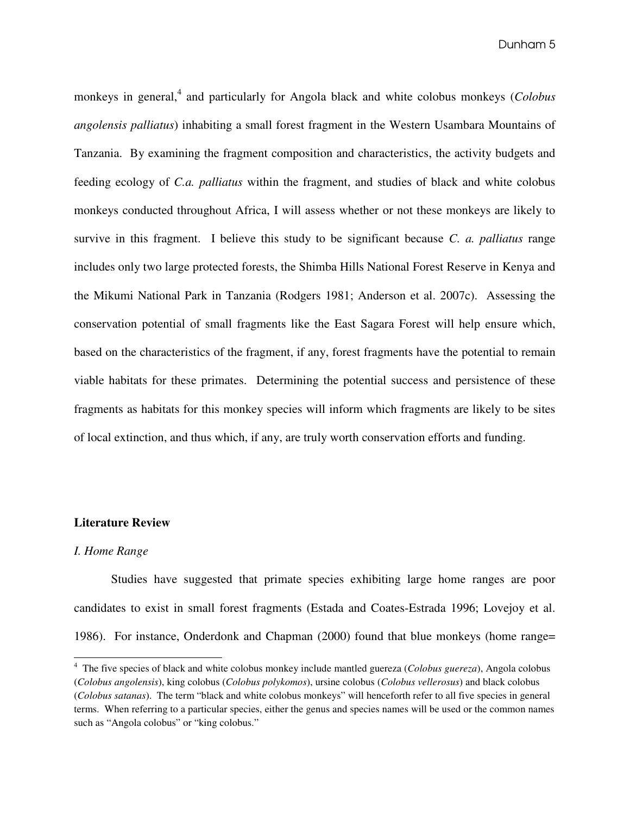monkeys in general,<sup>4</sup> and particularly for Angola black and white colobus monkeys (*Colobus angolensis palliatus*) inhabiting a small forest fragment in the Western Usambara Mountains of Tanzania. By examining the fragment composition and characteristics, the activity budgets and feeding ecology of *C.a. palliatus* within the fragment, and studies of black and white colobus monkeys conducted throughout Africa, I will assess whether or not these monkeys are likely to survive in this fragment. I believe this study to be significant because *C. a. palliatus* range includes only two large protected forests, the Shimba Hills National Forest Reserve in Kenya and the Mikumi National Park in Tanzania (Rodgers 1981; Anderson et al. 2007c). Assessing the conservation potential of small fragments like the East Sagara Forest will help ensure which, based on the characteristics of the fragment, if any, forest fragments have the potential to remain viable habitats for these primates. Determining the potential success and persistence of these fragments as habitats for this monkey species will inform which fragments are likely to be sites of local extinction, and thus which, if any, are truly worth conservation efforts and funding.

#### **Literature Review**

#### *I. Home Range*

 $\overline{a}$ 

Studies have suggested that primate species exhibiting large home ranges are poor candidates to exist in small forest fragments (Estada and Coates-Estrada 1996; Lovejoy et al. 1986). For instance, Onderdonk and Chapman (2000) found that blue monkeys (home range=

<sup>4</sup> The five species of black and white colobus monkey include mantled guereza (*Colobus guereza*), Angola colobus (*Colobus angolensis*), king colobus (*Colobus polykomos*), ursine colobus (*Colobus vellerosus*) and black colobus (*Colobus satanas*). The term "black and white colobus monkeys" will henceforth refer to all five species in general terms. When referring to a particular species, either the genus and species names will be used or the common names such as "Angola colobus" or "king colobus."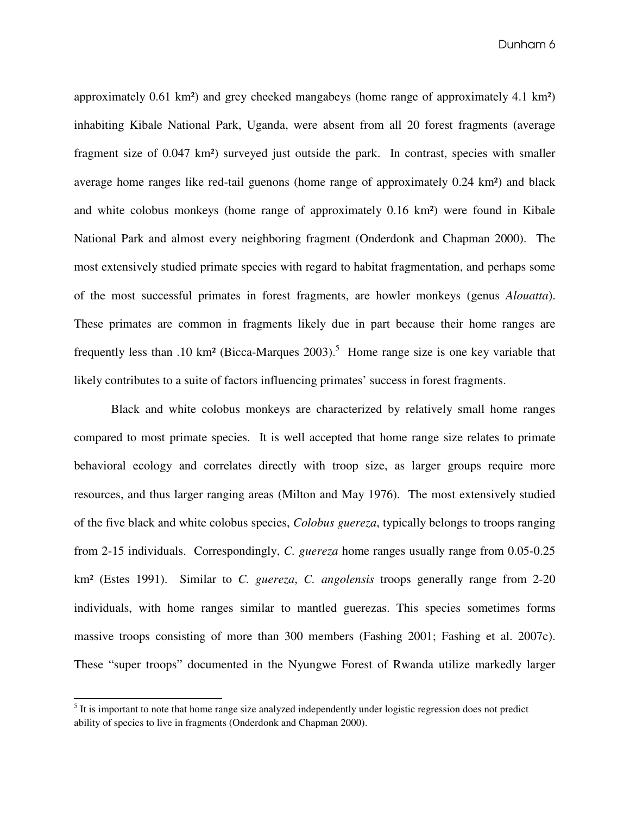approximately 0.61 km²) and grey cheeked mangabeys (home range of approximately 4.1 km²) inhabiting Kibale National Park, Uganda, were absent from all 20 forest fragments (average fragment size of 0.047 km²) surveyed just outside the park. In contrast, species with smaller average home ranges like red-tail guenons (home range of approximately 0.24 km²) and black and white colobus monkeys (home range of approximately 0.16 km²) were found in Kibale National Park and almost every neighboring fragment (Onderdonk and Chapman 2000). The most extensively studied primate species with regard to habitat fragmentation, and perhaps some of the most successful primates in forest fragments, are howler monkeys (genus *Alouatta*). These primates are common in fragments likely due in part because their home ranges are frequently less than .10 km<sup>2</sup> (Bicca-Marques 2003).<sup>5</sup> Home range size is one key variable that likely contributes to a suite of factors influencing primates' success in forest fragments.

Black and white colobus monkeys are characterized by relatively small home ranges compared to most primate species. It is well accepted that home range size relates to primate behavioral ecology and correlates directly with troop size, as larger groups require more resources, and thus larger ranging areas (Milton and May 1976). The most extensively studied of the five black and white colobus species, *Colobus guereza*, typically belongs to troops ranging from 2-15 individuals. Correspondingly, *C. guereza* home ranges usually range from 0.05-0.25 km² (Estes 1991). Similar to *C. guereza*, *C. angolensis* troops generally range from 2-20 individuals, with home ranges similar to mantled guerezas. This species sometimes forms massive troops consisting of more than 300 members (Fashing 2001; Fashing et al. 2007c). These "super troops" documented in the Nyungwe Forest of Rwanda utilize markedly larger

 $\overline{a}$ 

 $<sup>5</sup>$  It is important to note that home range size analyzed independently under logistic regression does not predict</sup> ability of species to live in fragments (Onderdonk and Chapman 2000).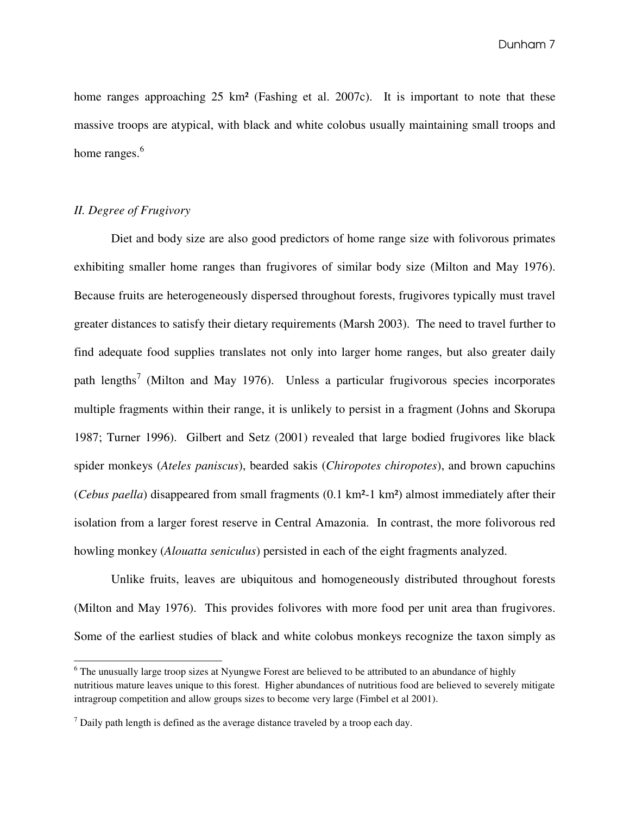home ranges approaching 25 km<sup>2</sup> (Fashing et al. 2007c). It is important to note that these massive troops are atypical, with black and white colobus usually maintaining small troops and home ranges.<sup>6</sup>

# *II. Degree of Frugivory*

 $\overline{a}$ 

Diet and body size are also good predictors of home range size with folivorous primates exhibiting smaller home ranges than frugivores of similar body size (Milton and May 1976). Because fruits are heterogeneously dispersed throughout forests, frugivores typically must travel greater distances to satisfy their dietary requirements (Marsh 2003). The need to travel further to find adequate food supplies translates not only into larger home ranges, but also greater daily path lengths<sup>7</sup> (Milton and May 1976). Unless a particular frugivorous species incorporates multiple fragments within their range, it is unlikely to persist in a fragment (Johns and Skorupa 1987; Turner 1996). Gilbert and Setz (2001) revealed that large bodied frugivores like black spider monkeys (*Ateles paniscus*), bearded sakis (*Chiropotes chiropotes*), and brown capuchins (*Cebus paella*) disappeared from small fragments (0.1 km²-1 km²) almost immediately after their isolation from a larger forest reserve in Central Amazonia. In contrast, the more folivorous red howling monkey (*Alouatta seniculus*) persisted in each of the eight fragments analyzed.

 Unlike fruits, leaves are ubiquitous and homogeneously distributed throughout forests (Milton and May 1976). This provides folivores with more food per unit area than frugivores. Some of the earliest studies of black and white colobus monkeys recognize the taxon simply as

<sup>&</sup>lt;sup>6</sup> The unusually large troop sizes at Nyungwe Forest are believed to be attributed to an abundance of highly nutritious mature leaves unique to this forest. Higher abundances of nutritious food are believed to severely mitigate intragroup competition and allow groups sizes to become very large (Fimbel et al 2001).

 $<sup>7</sup>$  Daily path length is defined as the average distance traveled by a troop each day.</sup>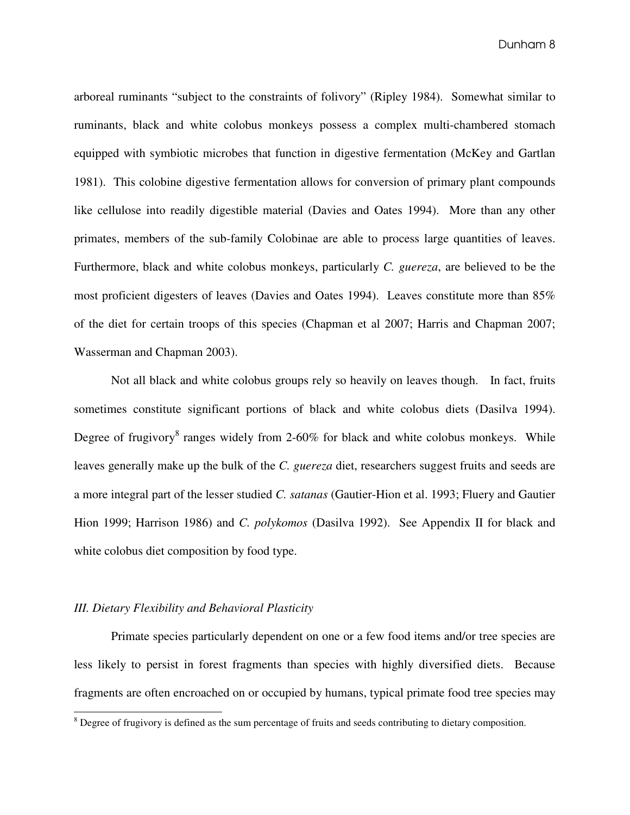arboreal ruminants "subject to the constraints of folivory" (Ripley 1984). Somewhat similar to ruminants, black and white colobus monkeys possess a complex multi-chambered stomach equipped with symbiotic microbes that function in digestive fermentation (McKey and Gartlan 1981). This colobine digestive fermentation allows for conversion of primary plant compounds like cellulose into readily digestible material (Davies and Oates 1994). More than any other primates, members of the sub-family Colobinae are able to process large quantities of leaves. Furthermore, black and white colobus monkeys, particularly *C. guereza*, are believed to be the most proficient digesters of leaves (Davies and Oates 1994). Leaves constitute more than 85% of the diet for certain troops of this species (Chapman et al 2007; Harris and Chapman 2007; Wasserman and Chapman 2003).

Not all black and white colobus groups rely so heavily on leaves though. In fact, fruits sometimes constitute significant portions of black and white colobus diets (Dasilva 1994). Degree of frugivory<sup>8</sup> ranges widely from 2-60% for black and white colobus monkeys. While leaves generally make up the bulk of the *C. guereza* diet, researchers suggest fruits and seeds are a more integral part of the lesser studied *C. satanas* (Gautier-Hion et al. 1993; Fluery and Gautier Hion 1999; Harrison 1986) and *C. polykomos* (Dasilva 1992). See Appendix II for black and white colobus diet composition by food type.

#### *III. Dietary Flexibility and Behavioral Plasticity*

 $\overline{a}$ 

Primate species particularly dependent on one or a few food items and/or tree species are less likely to persist in forest fragments than species with highly diversified diets. Because fragments are often encroached on or occupied by humans, typical primate food tree species may

 $8$  Degree of frugivory is defined as the sum percentage of fruits and seeds contributing to dietary composition.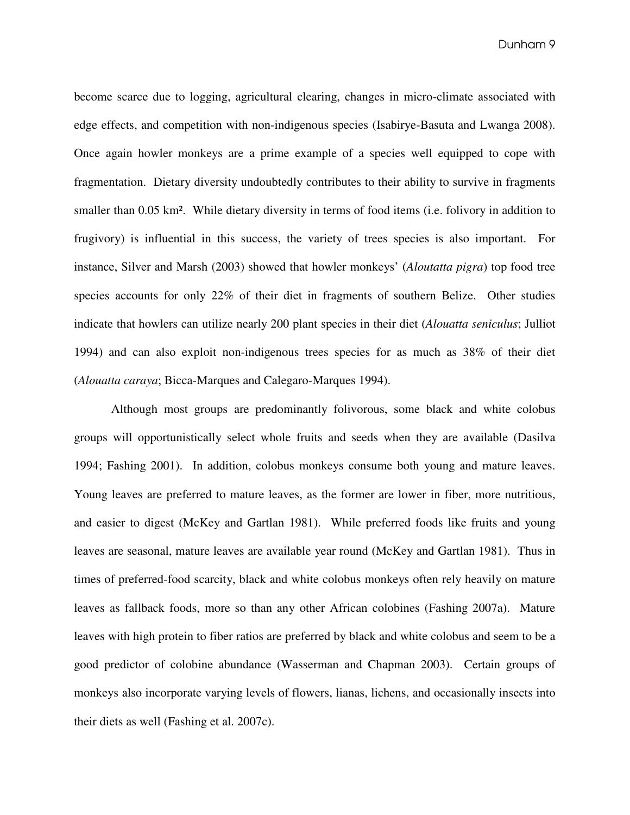become scarce due to logging, agricultural clearing, changes in micro-climate associated with edge effects, and competition with non-indigenous species (Isabirye-Basuta and Lwanga 2008). Once again howler monkeys are a prime example of a species well equipped to cope with fragmentation. Dietary diversity undoubtedly contributes to their ability to survive in fragments smaller than 0.05 km². While dietary diversity in terms of food items (i.e. folivory in addition to frugivory) is influential in this success, the variety of trees species is also important. For instance, Silver and Marsh (2003) showed that howler monkeys' (*Aloutatta pigra*) top food tree species accounts for only 22% of their diet in fragments of southern Belize. Other studies indicate that howlers can utilize nearly 200 plant species in their diet (*Alouatta seniculus*; Julliot 1994) and can also exploit non-indigenous trees species for as much as 38% of their diet (*Alouatta caraya*; Bicca-Marques and Calegaro-Marques 1994).

 Although most groups are predominantly folivorous, some black and white colobus groups will opportunistically select whole fruits and seeds when they are available (Dasilva 1994; Fashing 2001). In addition, colobus monkeys consume both young and mature leaves. Young leaves are preferred to mature leaves, as the former are lower in fiber, more nutritious, and easier to digest (McKey and Gartlan 1981). While preferred foods like fruits and young leaves are seasonal, mature leaves are available year round (McKey and Gartlan 1981). Thus in times of preferred-food scarcity, black and white colobus monkeys often rely heavily on mature leaves as fallback foods, more so than any other African colobines (Fashing 2007a). Mature leaves with high protein to fiber ratios are preferred by black and white colobus and seem to be a good predictor of colobine abundance (Wasserman and Chapman 2003). Certain groups of monkeys also incorporate varying levels of flowers, lianas, lichens, and occasionally insects into their diets as well (Fashing et al. 2007c).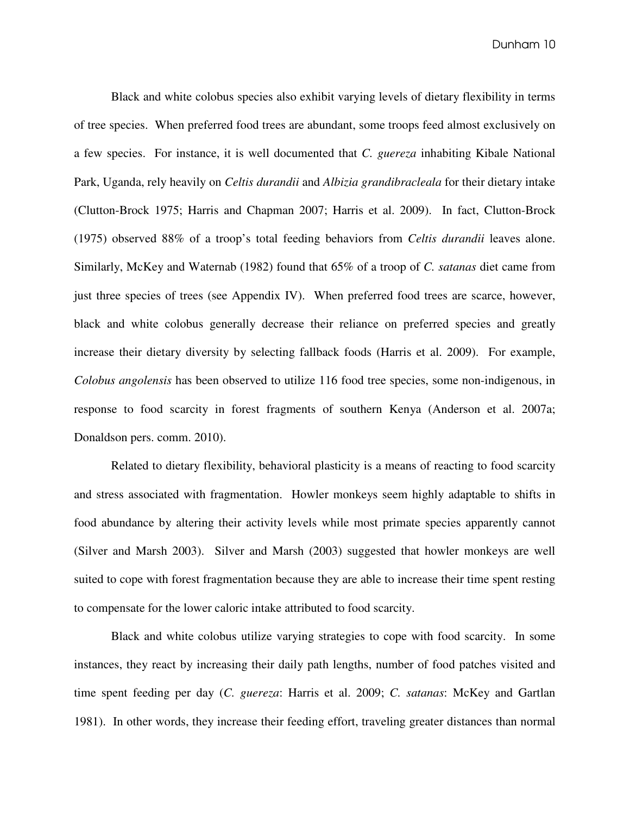Black and white colobus species also exhibit varying levels of dietary flexibility in terms of tree species. When preferred food trees are abundant, some troops feed almost exclusively on a few species. For instance, it is well documented that *C. guereza* inhabiting Kibale National Park, Uganda, rely heavily on *Celtis durandii* and *Albizia grandibracleala* for their dietary intake (Clutton-Brock 1975; Harris and Chapman 2007; Harris et al. 2009). In fact, Clutton-Brock (1975) observed 88% of a troop's total feeding behaviors from *Celtis durandii* leaves alone. Similarly, McKey and Waternab (1982) found that 65% of a troop of *C. satanas* diet came from just three species of trees (see Appendix IV). When preferred food trees are scarce, however, black and white colobus generally decrease their reliance on preferred species and greatly increase their dietary diversity by selecting fallback foods (Harris et al. 2009). For example, *Colobus angolensis* has been observed to utilize 116 food tree species, some non-indigenous, in response to food scarcity in forest fragments of southern Kenya (Anderson et al. 2007a; Donaldson pers. comm. 2010).

 Related to dietary flexibility, behavioral plasticity is a means of reacting to food scarcity and stress associated with fragmentation. Howler monkeys seem highly adaptable to shifts in food abundance by altering their activity levels while most primate species apparently cannot (Silver and Marsh 2003). Silver and Marsh (2003) suggested that howler monkeys are well suited to cope with forest fragmentation because they are able to increase their time spent resting to compensate for the lower caloric intake attributed to food scarcity.

 Black and white colobus utilize varying strategies to cope with food scarcity. In some instances, they react by increasing their daily path lengths, number of food patches visited and time spent feeding per day (*C. guereza*: Harris et al. 2009; *C. satanas*: McKey and Gartlan 1981). In other words, they increase their feeding effort, traveling greater distances than normal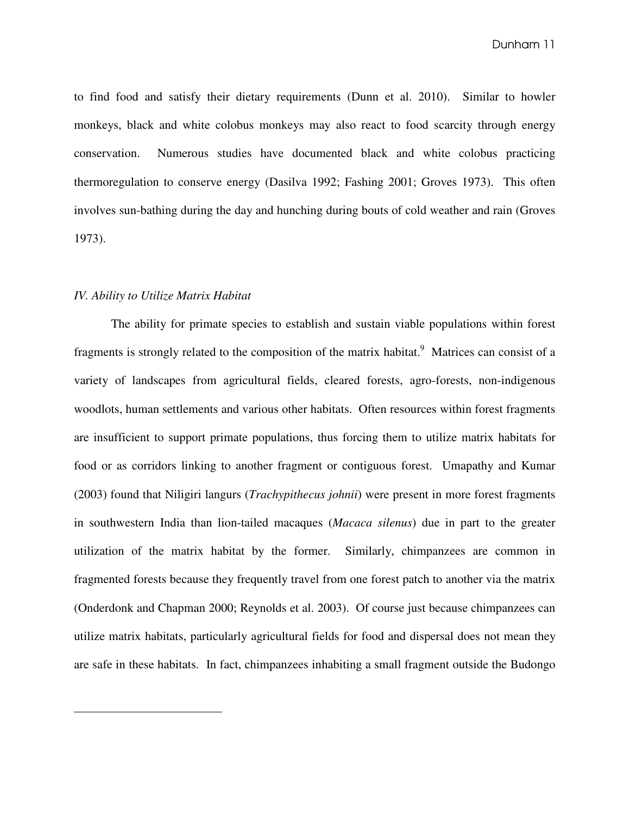to find food and satisfy their dietary requirements (Dunn et al. 2010). Similar to howler monkeys, black and white colobus monkeys may also react to food scarcity through energy conservation. Numerous studies have documented black and white colobus practicing thermoregulation to conserve energy (Dasilva 1992; Fashing 2001; Groves 1973). This often involves sun-bathing during the day and hunching during bouts of cold weather and rain (Groves 1973).

#### *IV. Ability to Utilize Matrix Habitat*

 $\overline{a}$ 

The ability for primate species to establish and sustain viable populations within forest fragments is strongly related to the composition of the matrix habitat.<sup>9</sup> Matrices can consist of a variety of landscapes from agricultural fields, cleared forests, agro-forests, non-indigenous woodlots, human settlements and various other habitats. Often resources within forest fragments are insufficient to support primate populations, thus forcing them to utilize matrix habitats for food or as corridors linking to another fragment or contiguous forest. Umapathy and Kumar (2003) found that Niligiri langurs (*Trachypithecus johnii*) were present in more forest fragments in southwestern India than lion-tailed macaques (*Macaca silenus*) due in part to the greater utilization of the matrix habitat by the former. Similarly, chimpanzees are common in fragmented forests because they frequently travel from one forest patch to another via the matrix (Onderdonk and Chapman 2000; Reynolds et al. 2003). Of course just because chimpanzees can utilize matrix habitats, particularly agricultural fields for food and dispersal does not mean they are safe in these habitats. In fact, chimpanzees inhabiting a small fragment outside the Budongo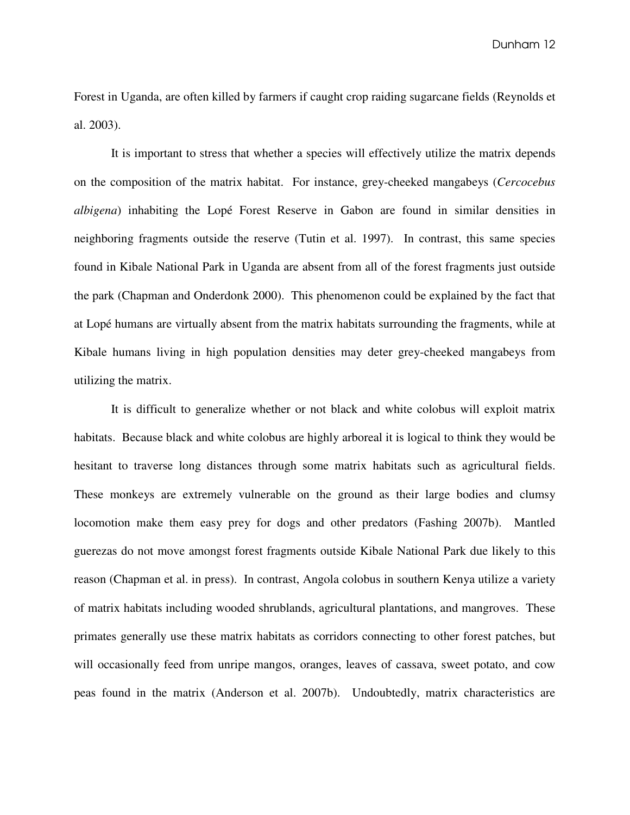Forest in Uganda, are often killed by farmers if caught crop raiding sugarcane fields (Reynolds et al. 2003).

It is important to stress that whether a species will effectively utilize the matrix depends on the composition of the matrix habitat. For instance, grey-cheeked mangabeys (*Cercocebus albigena*) inhabiting the Lopé Forest Reserve in Gabon are found in similar densities in neighboring fragments outside the reserve (Tutin et al. 1997). In contrast, this same species found in Kibale National Park in Uganda are absent from all of the forest fragments just outside the park (Chapman and Onderdonk 2000). This phenomenon could be explained by the fact that at Lopé humans are virtually absent from the matrix habitats surrounding the fragments, while at Kibale humans living in high population densities may deter grey-cheeked mangabeys from utilizing the matrix.

It is difficult to generalize whether or not black and white colobus will exploit matrix habitats. Because black and white colobus are highly arboreal it is logical to think they would be hesitant to traverse long distances through some matrix habitats such as agricultural fields. These monkeys are extremely vulnerable on the ground as their large bodies and clumsy locomotion make them easy prey for dogs and other predators (Fashing 2007b). Mantled guerezas do not move amongst forest fragments outside Kibale National Park due likely to this reason (Chapman et al. in press). In contrast, Angola colobus in southern Kenya utilize a variety of matrix habitats including wooded shrublands, agricultural plantations, and mangroves. These primates generally use these matrix habitats as corridors connecting to other forest patches, but will occasionally feed from unripe mangos, oranges, leaves of cassava, sweet potato, and cow peas found in the matrix (Anderson et al. 2007b). Undoubtedly, matrix characteristics are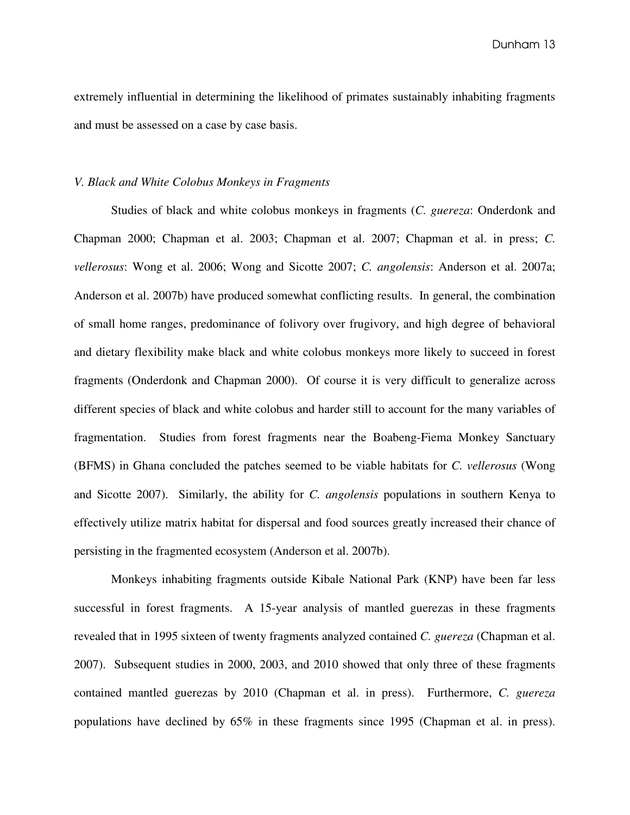extremely influential in determining the likelihood of primates sustainably inhabiting fragments and must be assessed on a case by case basis.

#### *V. Black and White Colobus Monkeys in Fragments*

Studies of black and white colobus monkeys in fragments (*C. guereza*: Onderdonk and Chapman 2000; Chapman et al. 2003; Chapman et al. 2007; Chapman et al. in press; *C. vellerosus*: Wong et al. 2006; Wong and Sicotte 2007; *C. angolensis*: Anderson et al. 2007a; Anderson et al. 2007b) have produced somewhat conflicting results. In general, the combination of small home ranges, predominance of folivory over frugivory, and high degree of behavioral and dietary flexibility make black and white colobus monkeys more likely to succeed in forest fragments (Onderdonk and Chapman 2000). Of course it is very difficult to generalize across different species of black and white colobus and harder still to account for the many variables of fragmentation. Studies from forest fragments near the Boabeng-Fiema Monkey Sanctuary (BFMS) in Ghana concluded the patches seemed to be viable habitats for *C. vellerosus* (Wong and Sicotte 2007). Similarly, the ability for *C. angolensis* populations in southern Kenya to effectively utilize matrix habitat for dispersal and food sources greatly increased their chance of persisting in the fragmented ecosystem (Anderson et al. 2007b).

Monkeys inhabiting fragments outside Kibale National Park (KNP) have been far less successful in forest fragments. A 15-year analysis of mantled guerezas in these fragments revealed that in 1995 sixteen of twenty fragments analyzed contained *C. guereza* (Chapman et al. 2007). Subsequent studies in 2000, 2003, and 2010 showed that only three of these fragments contained mantled guerezas by 2010 (Chapman et al. in press). Furthermore, *C. guereza* populations have declined by 65% in these fragments since 1995 (Chapman et al. in press).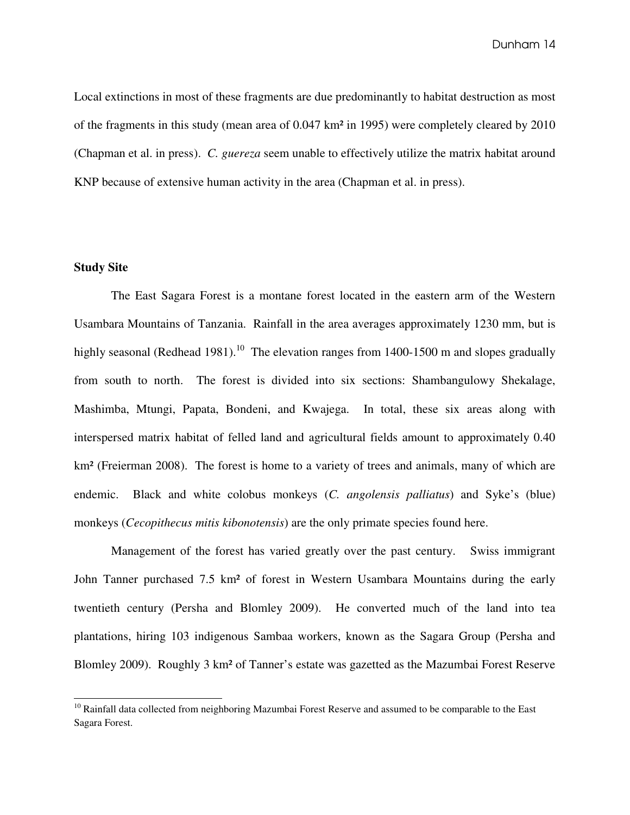Local extinctions in most of these fragments are due predominantly to habitat destruction as most of the fragments in this study (mean area of 0.047 km² in 1995) were completely cleared by 2010 (Chapman et al. in press). *C. guereza* seem unable to effectively utilize the matrix habitat around KNP because of extensive human activity in the area (Chapman et al. in press).

# **Study Site**

 $\overline{a}$ 

The East Sagara Forest is a montane forest located in the eastern arm of the Western Usambara Mountains of Tanzania. Rainfall in the area averages approximately 1230 mm, but is highly seasonal (Redhead 1981).<sup>10</sup> The elevation ranges from 1400-1500 m and slopes gradually from south to north. The forest is divided into six sections: Shambangulowy Shekalage, Mashimba, Mtungi, Papata, Bondeni, and Kwajega. In total, these six areas along with interspersed matrix habitat of felled land and agricultural fields amount to approximately 0.40 km<sup>2</sup> (Freierman 2008). The forest is home to a variety of trees and animals, many of which are endemic. Black and white colobus monkeys (*C. angolensis palliatus*) and Syke's (blue) monkeys (*Cecopithecus mitis kibonotensis*) are the only primate species found here.

Management of the forest has varied greatly over the past century. Swiss immigrant John Tanner purchased 7.5 km² of forest in Western Usambara Mountains during the early twentieth century (Persha and Blomley 2009). He converted much of the land into tea plantations, hiring 103 indigenous Sambaa workers, known as the Sagara Group (Persha and Blomley 2009). Roughly 3 km² of Tanner's estate was gazetted as the Mazumbai Forest Reserve

<sup>&</sup>lt;sup>10</sup> Rainfall data collected from neighboring Mazumbai Forest Reserve and assumed to be comparable to the East Sagara Forest.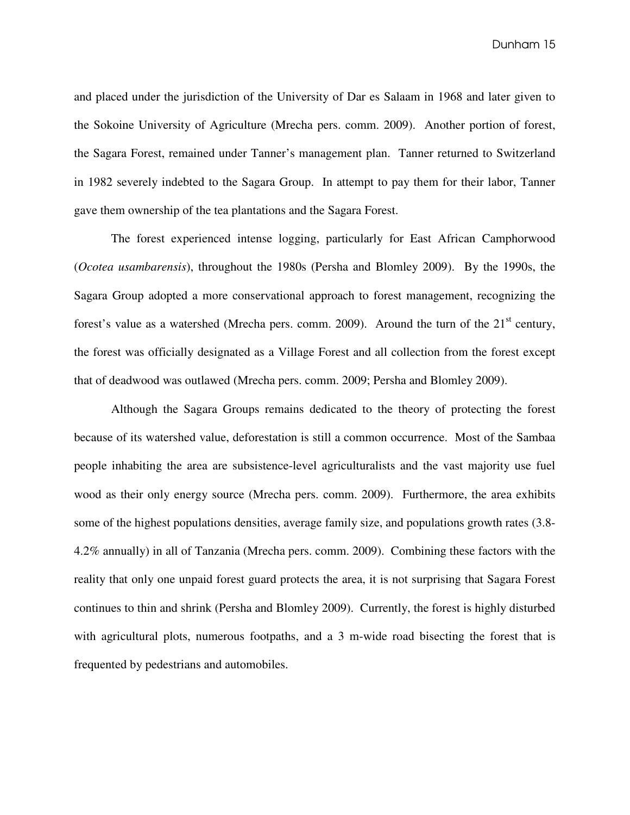and placed under the jurisdiction of the University of Dar es Salaam in 1968 and later given to the Sokoine University of Agriculture (Mrecha pers. comm. 2009). Another portion of forest, the Sagara Forest, remained under Tanner's management plan. Tanner returned to Switzerland in 1982 severely indebted to the Sagara Group. In attempt to pay them for their labor, Tanner gave them ownership of the tea plantations and the Sagara Forest.

The forest experienced intense logging, particularly for East African Camphorwood (*Ocotea usambarensis*), throughout the 1980s (Persha and Blomley 2009). By the 1990s, the Sagara Group adopted a more conservational approach to forest management, recognizing the forest's value as a watershed (Mrecha pers. comm. 2009). Around the turn of the  $21<sup>st</sup>$  century, the forest was officially designated as a Village Forest and all collection from the forest except that of deadwood was outlawed (Mrecha pers. comm. 2009; Persha and Blomley 2009).

Although the Sagara Groups remains dedicated to the theory of protecting the forest because of its watershed value, deforestation is still a common occurrence. Most of the Sambaa people inhabiting the area are subsistence-level agriculturalists and the vast majority use fuel wood as their only energy source (Mrecha pers. comm. 2009). Furthermore, the area exhibits some of the highest populations densities, average family size, and populations growth rates (3.8- 4.2% annually) in all of Tanzania (Mrecha pers. comm. 2009). Combining these factors with the reality that only one unpaid forest guard protects the area, it is not surprising that Sagara Forest continues to thin and shrink (Persha and Blomley 2009). Currently, the forest is highly disturbed with agricultural plots, numerous footpaths, and a 3 m-wide road bisecting the forest that is frequented by pedestrians and automobiles.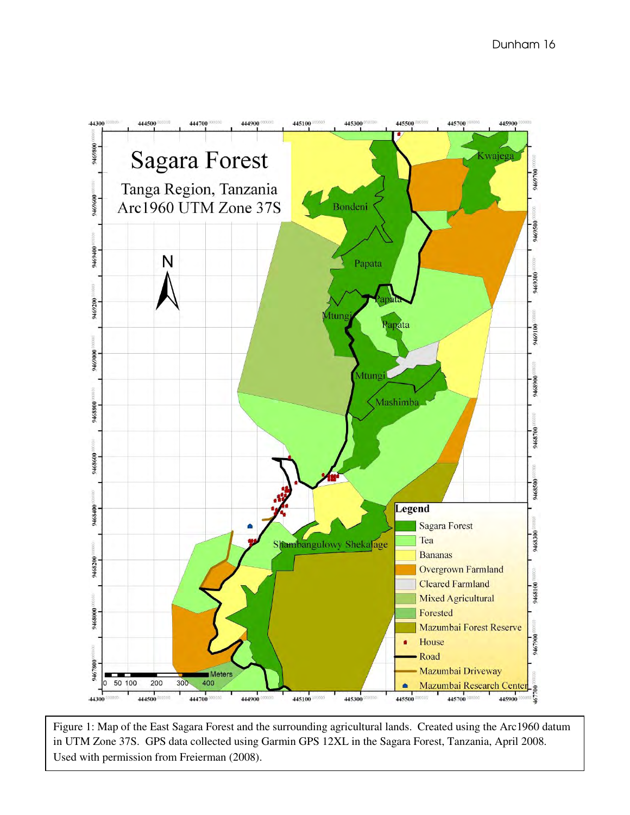

Figure 1: Map of the East Sagara Forest and the surrounding agricultural lands. Created using the Arc1960 datum in UTM Zone 37S. GPS data collected using Garmin GPS 12XL in the Sagara Forest, Tanzania, April 2008. Used with permission from Freierman (2008).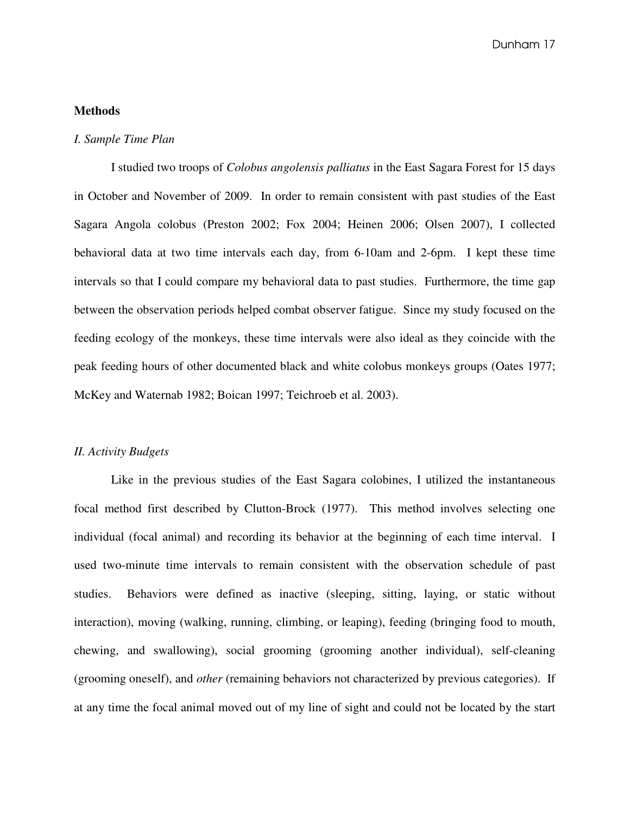#### **Methods**

#### *I. Sample Time Plan*

I studied two troops of *Colobus angolensis palliatus* in the East Sagara Forest for 15 days in October and November of 2009. In order to remain consistent with past studies of the East Sagara Angola colobus (Preston 2002; Fox 2004; Heinen 2006; Olsen 2007), I collected behavioral data at two time intervals each day, from 6-10am and 2-6pm. I kept these time intervals so that I could compare my behavioral data to past studies. Furthermore, the time gap between the observation periods helped combat observer fatigue. Since my study focused on the feeding ecology of the monkeys, these time intervals were also ideal as they coincide with the peak feeding hours of other documented black and white colobus monkeys groups (Oates 1977; McKey and Waternab 1982; Boican 1997; Teichroeb et al. 2003).

#### *II. Activity Budgets*

Like in the previous studies of the East Sagara colobines, I utilized the instantaneous focal method first described by Clutton-Brock (1977). This method involves selecting one individual (focal animal) and recording its behavior at the beginning of each time interval. I used two-minute time intervals to remain consistent with the observation schedule of past studies. Behaviors were defined as inactive (sleeping, sitting, laying, or static without interaction), moving (walking, running, climbing, or leaping), feeding (bringing food to mouth, chewing, and swallowing), social grooming (grooming another individual), self-cleaning (grooming oneself), and *other* (remaining behaviors not characterized by previous categories). If at any time the focal animal moved out of my line of sight and could not be located by the start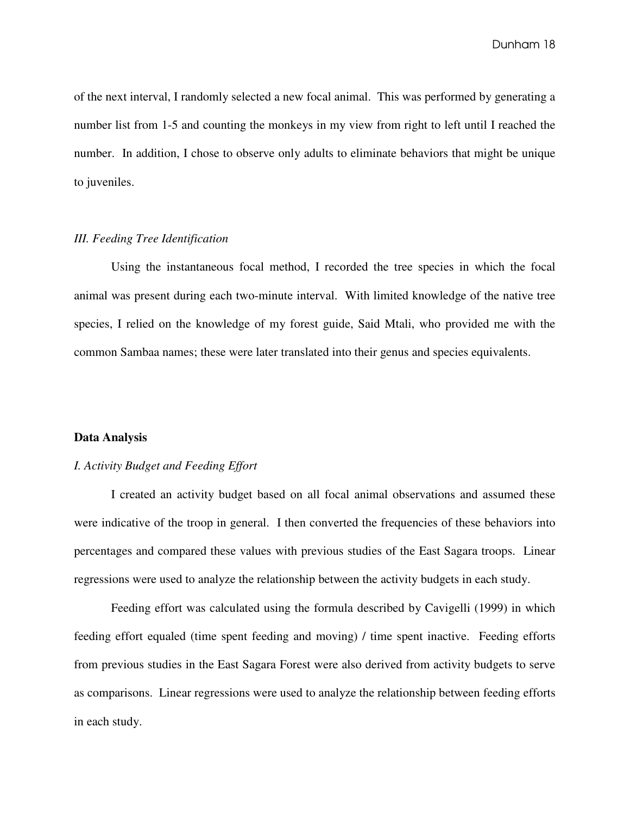of the next interval, I randomly selected a new focal animal. This was performed by generating a number list from 1-5 and counting the monkeys in my view from right to left until I reached the number. In addition, I chose to observe only adults to eliminate behaviors that might be unique to juveniles.

#### *III. Feeding Tree Identification*

Using the instantaneous focal method, I recorded the tree species in which the focal animal was present during each two-minute interval. With limited knowledge of the native tree species, I relied on the knowledge of my forest guide, Said Mtali, who provided me with the common Sambaa names; these were later translated into their genus and species equivalents.

#### **Data Analysis**

# *I. Activity Budget and Feeding Effort*

I created an activity budget based on all focal animal observations and assumed these were indicative of the troop in general. I then converted the frequencies of these behaviors into percentages and compared these values with previous studies of the East Sagara troops. Linear regressions were used to analyze the relationship between the activity budgets in each study.

Feeding effort was calculated using the formula described by Cavigelli (1999) in which feeding effort equaled (time spent feeding and moving) / time spent inactive. Feeding efforts from previous studies in the East Sagara Forest were also derived from activity budgets to serve as comparisons. Linear regressions were used to analyze the relationship between feeding efforts in each study.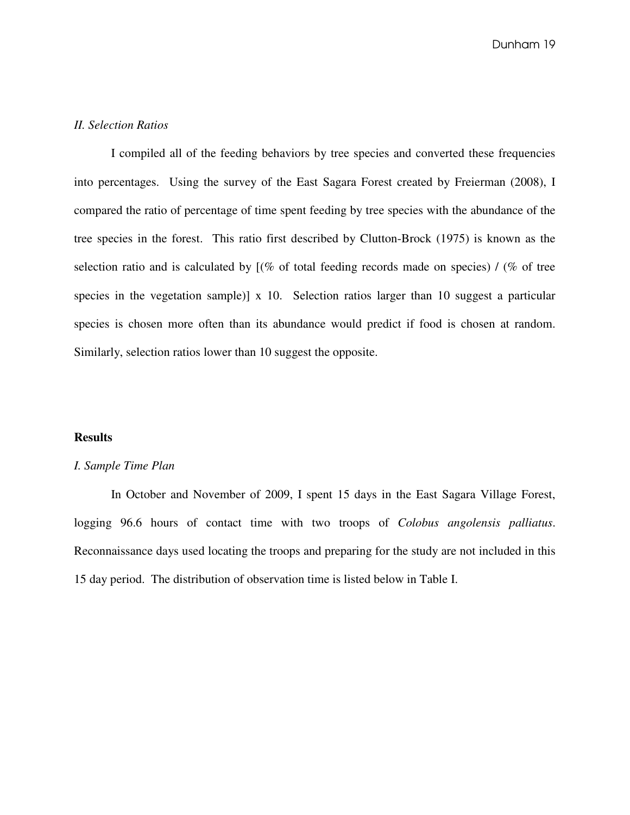# *II. Selection Ratios*

I compiled all of the feeding behaviors by tree species and converted these frequencies into percentages. Using the survey of the East Sagara Forest created by Freierman (2008), I compared the ratio of percentage of time spent feeding by tree species with the abundance of the tree species in the forest. This ratio first described by Clutton-Brock (1975) is known as the selection ratio and is calculated by  $[(% \n\delta)$  total feeding records made on species) /  $(% \n\delta)$  of tree species in the vegetation sample)] x 10. Selection ratios larger than 10 suggest a particular species is chosen more often than its abundance would predict if food is chosen at random. Similarly, selection ratios lower than 10 suggest the opposite.

#### **Results**

#### *I. Sample Time Plan*

In October and November of 2009, I spent 15 days in the East Sagara Village Forest, logging 96.6 hours of contact time with two troops of *Colobus angolensis palliatus*. Reconnaissance days used locating the troops and preparing for the study are not included in this 15 day period. The distribution of observation time is listed below in Table I.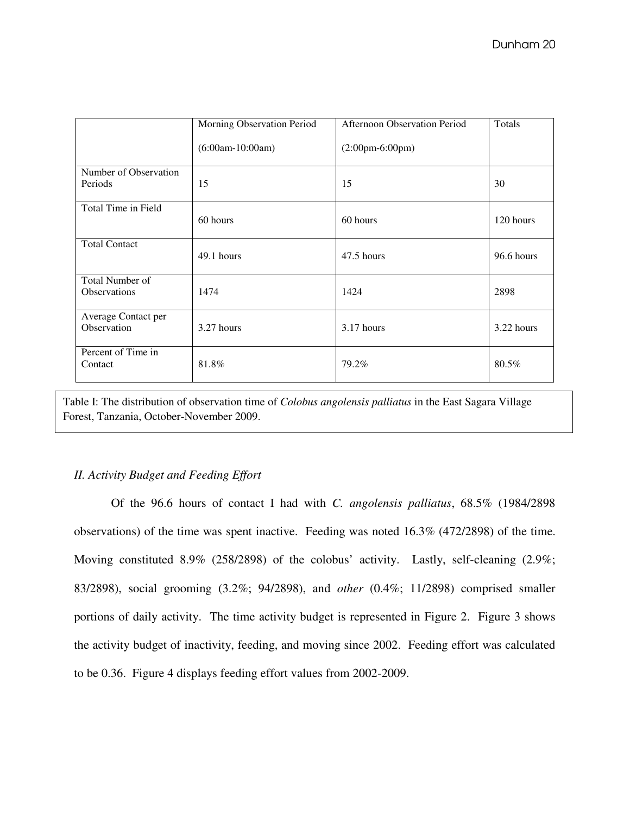|                                        | Morning Observation Period | <b>Afternoon Observation Period</b> | Totals     |
|----------------------------------------|----------------------------|-------------------------------------|------------|
|                                        | $(6:00am-10:00am)$         | $(2:00 \text{pm-}6:00 \text{pm})$   |            |
| Number of Observation<br>Periods       | 15                         | 15                                  | 30         |
|                                        |                            |                                     |            |
| Total Time in Field                    | 60 hours                   | 60 hours                            | 120 hours  |
| <b>Total Contact</b>                   | 49.1 hours                 | 47.5 hours                          | 96.6 hours |
| Total Number of<br><b>Observations</b> | 1474                       | 1424                                | 2898       |
|                                        |                            |                                     |            |
| Average Contact per<br>Observation     | 3.27 hours                 | 3.17 hours                          | 3.22 hours |
|                                        |                            |                                     |            |
| Percent of Time in<br>Contact          | 81.8%                      | 79.2%                               | 80.5%      |
|                                        |                            |                                     |            |

Table I: The distribution of observation time of *Colobus angolensis palliatus* in the East Sagara Village Forest, Tanzania, October-November 2009.

# *II. Activity Budget and Feeding Effort*

Of the 96.6 hours of contact I had with *C. angolensis palliatus*, 68.5% (1984/2898 observations) of the time was spent inactive. Feeding was noted 16.3% (472/2898) of the time. Moving constituted 8.9% (258/2898) of the colobus' activity. Lastly, self-cleaning (2.9%; 83/2898), social grooming (3.2%; 94/2898), and *other* (0.4%; 11/2898) comprised smaller portions of daily activity. The time activity budget is represented in Figure 2. Figure 3 shows the activity budget of inactivity, feeding, and moving since 2002. Feeding effort was calculated to be 0.36. Figure 4 displays feeding effort values from 2002-2009.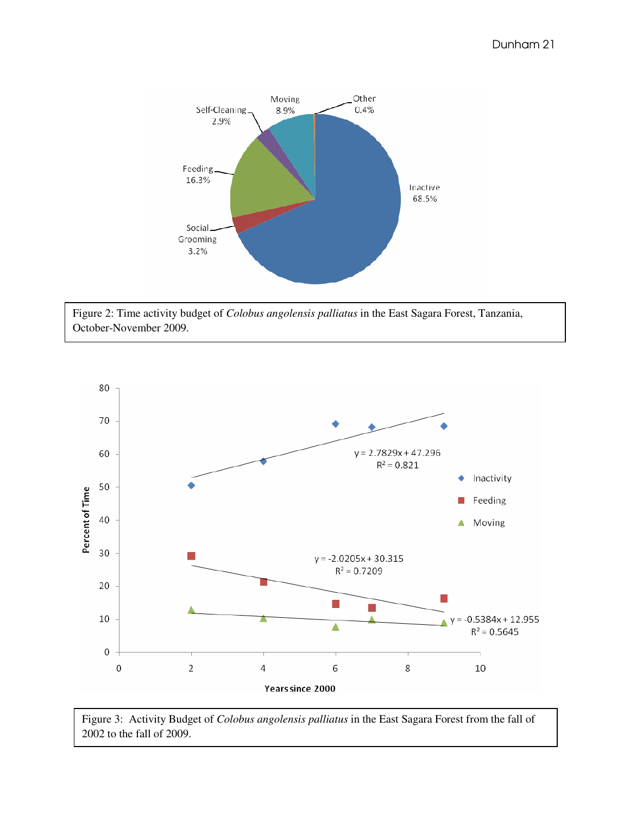

Figure 2: Time activity budget of *Colobus angolensis palliatus* in the East Sagara Forest, Tanzania, October-November 2009.



Figure 3: Activity Budget of *Colobus angolensis palliatus* in the East Sagara Forest from the fall of 2002 to the fall of 2009.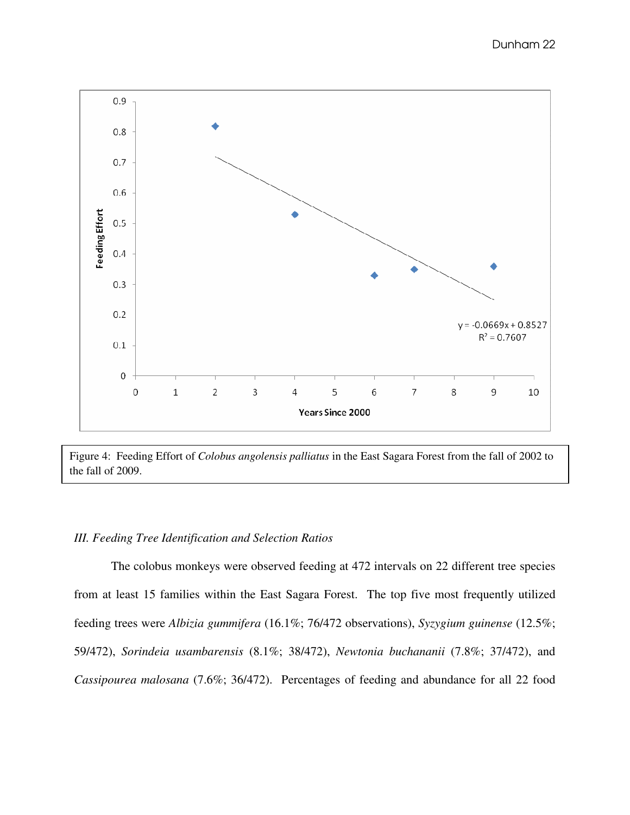



#### *III. Feeding Tree Identification and Selection Ratios*

The colobus monkeys were observed feeding at 472 intervals on 22 different tree species from at least 15 families within the East Sagara Forest. The top five most frequently utilized feeding trees were *Albizia gummifera* (16.1%; 76/472 observations), *Syzygium guinense* (12.5%; 59/472), *Sorindeia usambarensis* (8.1%; 38/472), *Newtonia buchananii* (7.8%; 37/472), and *Cassipourea malosana* (7.6%; 36/472). Percentages of feeding and abundance for all 22 food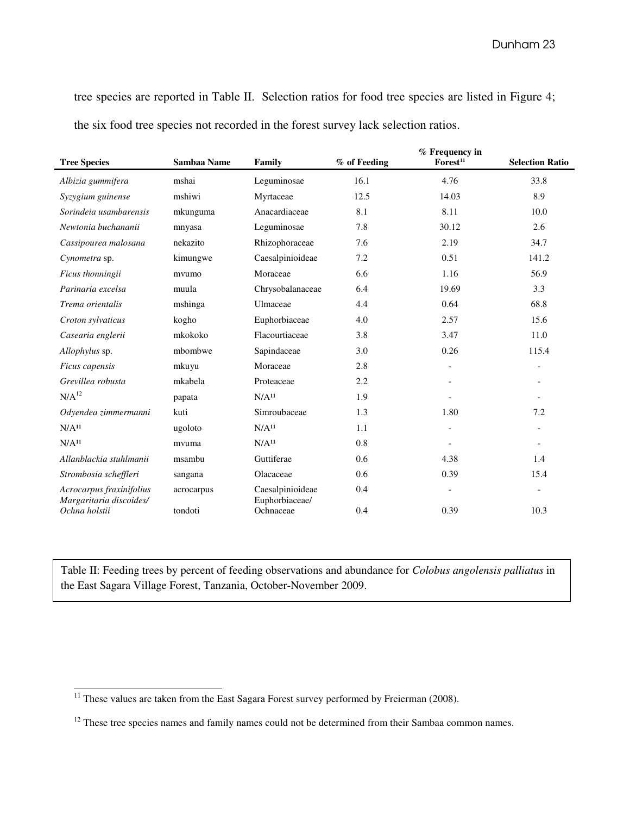tree species are reported in Table II. Selection ratios for food tree species are listed in Figure 4; the six food tree species not recorded in the forest survey lack selection ratios.

| <b>Tree Species</b>                                 | <b>Sambaa Name</b> | Family                             | % of Feeding | % Frequency in<br>Forest <sup>11</sup> | <b>Selection Ratio</b>   |
|-----------------------------------------------------|--------------------|------------------------------------|--------------|----------------------------------------|--------------------------|
| Albizia gummifera                                   | mshai              | Leguminosae                        | 16.1         | 4.76                                   | 33.8                     |
| Syzygium guinense                                   | mshiwi             | Myrtaceae                          | 12.5         | 14.03                                  | 8.9                      |
| Sorindeia usambarensis                              | mkunguma           | Anacardiaceae                      | 8.1          | 8.11                                   | 10.0                     |
| Newtonia buchananii                                 | mnyasa             | Leguminosae                        | 7.8          | 30.12                                  | 2.6                      |
| Cassipourea malosana                                | nekazito           | Rhizophoraceae                     | 7.6          | 2.19                                   | 34.7                     |
| Cynometra sp.                                       | kimungwe           | Caesalpinioideae                   | 7.2          | 0.51                                   | 141.2                    |
| Ficus thonningii                                    | mvumo              | Moraceae                           | 6.6          | 1.16                                   | 56.9                     |
| Parinaria excelsa                                   | muula              | Chrysobalanaceae                   | 6.4          | 19.69                                  | 3.3                      |
| Trema orientalis                                    | mshinga            | Ulmaceae                           | 4.4          | 0.64                                   | 68.8                     |
| Croton sylvaticus                                   | kogho              | Euphorbiaceae                      | 4.0          | 2.57                                   | 15.6                     |
| Casearia englerii                                   | mkokoko            | Flacourtiaceae                     | 3.8          | 3.47                                   | 11.0                     |
| Allophylus sp.                                      | mbombwe            | Sapindaceae                        | 3.0          | 0.26                                   | 115.4                    |
| Ficus capensis                                      | mkuyu              | Moraceae                           | 2.8          | $\overline{\phantom{a}}$               | $\overline{\phantom{a}}$ |
| Grevillea robusta                                   | mkabela            | Proteaceae                         | 2.2          |                                        | $\overline{\phantom{a}}$ |
| $N/A^{12}$                                          | papata             | N/A <sup>11</sup>                  | 1.9          | $\blacksquare$                         | $\overline{\phantom{a}}$ |
| Odyendea zimmermanni                                | kuti               | Simroubaceae                       | 1.3          | 1.80                                   | 7.2                      |
| N/A <sup>11</sup>                                   | ugoloto            | N/A <sup>11</sup>                  | 1.1          |                                        |                          |
| N/A <sup>11</sup>                                   | mvuma              | N/A <sup>11</sup>                  | 0.8          |                                        | $\overline{\phantom{a}}$ |
| Allanblackia stuhlmanii                             | msambu             | Guttiferae                         | 0.6          | 4.38                                   | 1.4                      |
| Strombosia scheffleri                               | sangana            | Olacaceae                          | 0.6          | 0.39                                   | 15.4                     |
| Acrocarpus fraxinifolius<br>Margaritaria discoides/ | acrocarpus         | Caesalpinioideae<br>Euphorbiaceae/ | 0.4          |                                        | $\overline{\phantom{a}}$ |
| Ochna holstii                                       | tondoti            | Ochnaceae                          | 0.4          | 0.39                                   | 10.3                     |

Table II: Feeding trees by percent of feeding observations and abundance for *Colobus angolensis palliatus* in the East Sagara Village Forest, Tanzania, October-November 2009.

l.

 $11$  These values are taken from the East Sagara Forest survey performed by Freierman (2008).

<sup>&</sup>lt;sup>12</sup> These tree species names and family names could not be determined from their Sambaa common names.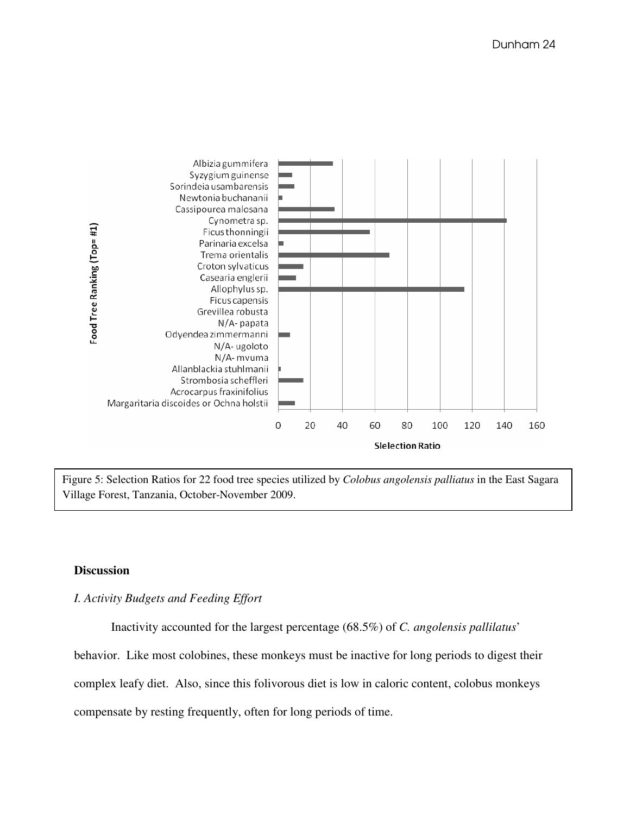

Figure 5: Selection Ratios for 22 food tree species utilized by *Colobus angolensis palliatus* in the East Sagara Village Forest, Tanzania, October-November 2009.

#### **Discussion**

# *I. Activity Budgets and Feeding Effort*

Inactivity accounted for the largest percentage (68.5%) of *C. angolensis pallilatus*'

behavior. Like most colobines, these monkeys must be inactive for long periods to digest their

complex leafy diet. Also, since this folivorous diet is low in caloric content, colobus monkeys

compensate by resting frequently, often for long periods of time.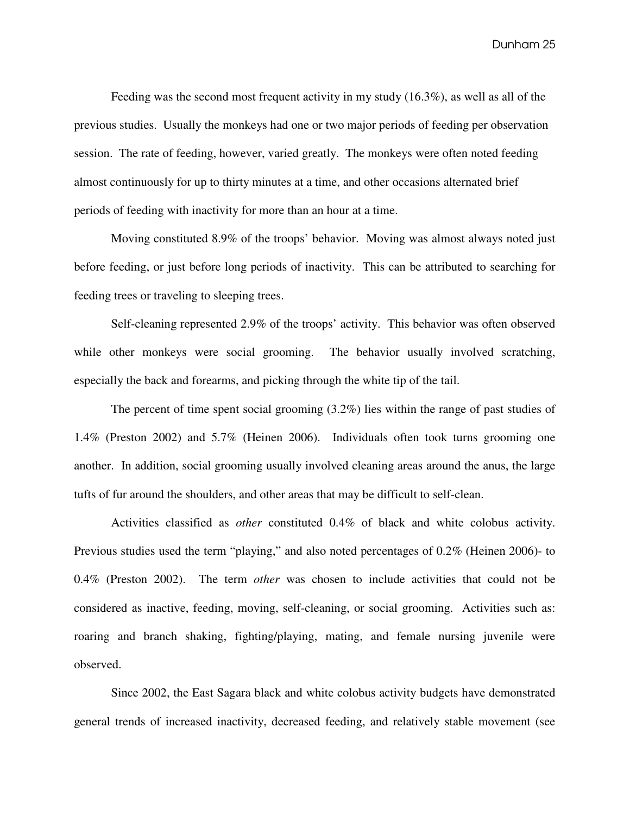Feeding was the second most frequent activity in my study (16.3%), as well as all of the previous studies. Usually the monkeys had one or two major periods of feeding per observation session. The rate of feeding, however, varied greatly. The monkeys were often noted feeding almost continuously for up to thirty minutes at a time, and other occasions alternated brief periods of feeding with inactivity for more than an hour at a time.

Moving constituted 8.9% of the troops' behavior. Moving was almost always noted just before feeding, or just before long periods of inactivity. This can be attributed to searching for feeding trees or traveling to sleeping trees.

Self-cleaning represented 2.9% of the troops' activity. This behavior was often observed while other monkeys were social grooming. The behavior usually involved scratching, especially the back and forearms, and picking through the white tip of the tail.

The percent of time spent social grooming (3.2%) lies within the range of past studies of 1.4% (Preston 2002) and 5.7% (Heinen 2006). Individuals often took turns grooming one another. In addition, social grooming usually involved cleaning areas around the anus, the large tufts of fur around the shoulders, and other areas that may be difficult to self-clean.

Activities classified as *other* constituted 0.4% of black and white colobus activity. Previous studies used the term "playing," and also noted percentages of 0.2% (Heinen 2006)- to 0.4% (Preston 2002). The term *other* was chosen to include activities that could not be considered as inactive, feeding, moving, self-cleaning, or social grooming. Activities such as: roaring and branch shaking, fighting/playing, mating, and female nursing juvenile were observed.

Since 2002, the East Sagara black and white colobus activity budgets have demonstrated general trends of increased inactivity, decreased feeding, and relatively stable movement (see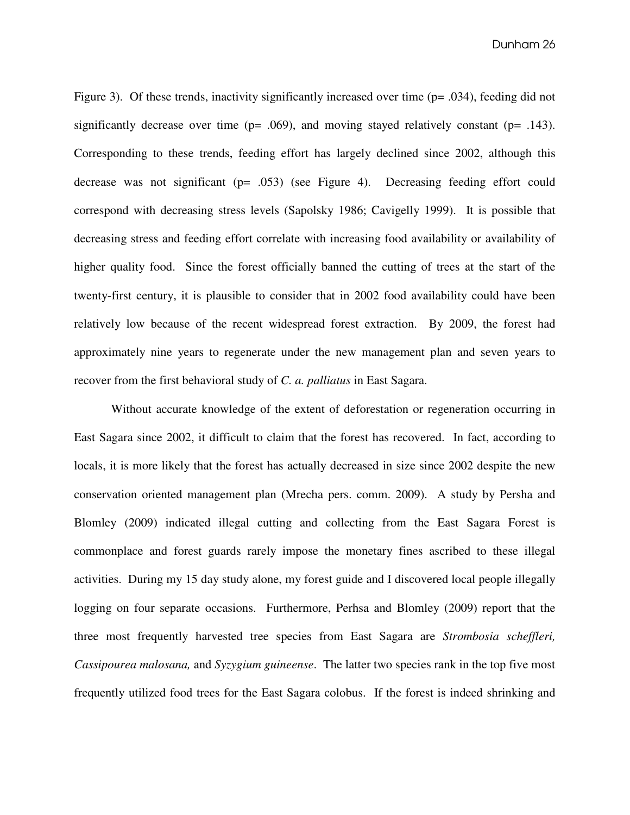Figure 3). Of these trends, inactivity significantly increased over time (p= .034), feeding did not significantly decrease over time ( $p= .069$ ), and moving stayed relatively constant ( $p= .143$ ). Corresponding to these trends, feeding effort has largely declined since 2002, although this decrease was not significant (p= .053) (see Figure 4). Decreasing feeding effort could correspond with decreasing stress levels (Sapolsky 1986; Cavigelly 1999). It is possible that decreasing stress and feeding effort correlate with increasing food availability or availability of higher quality food. Since the forest officially banned the cutting of trees at the start of the twenty-first century, it is plausible to consider that in 2002 food availability could have been relatively low because of the recent widespread forest extraction. By 2009, the forest had approximately nine years to regenerate under the new management plan and seven years to recover from the first behavioral study of *C. a. palliatus* in East Sagara.

Without accurate knowledge of the extent of deforestation or regeneration occurring in East Sagara since 2002, it difficult to claim that the forest has recovered. In fact, according to locals, it is more likely that the forest has actually decreased in size since 2002 despite the new conservation oriented management plan (Mrecha pers. comm. 2009). A study by Persha and Blomley (2009) indicated illegal cutting and collecting from the East Sagara Forest is commonplace and forest guards rarely impose the monetary fines ascribed to these illegal activities. During my 15 day study alone, my forest guide and I discovered local people illegally logging on four separate occasions. Furthermore, Perhsa and Blomley (2009) report that the three most frequently harvested tree species from East Sagara are *Strombosia scheffleri, Cassipourea malosana,* and *Syzygium guineense*. The latter two species rank in the top five most frequently utilized food trees for the East Sagara colobus. If the forest is indeed shrinking and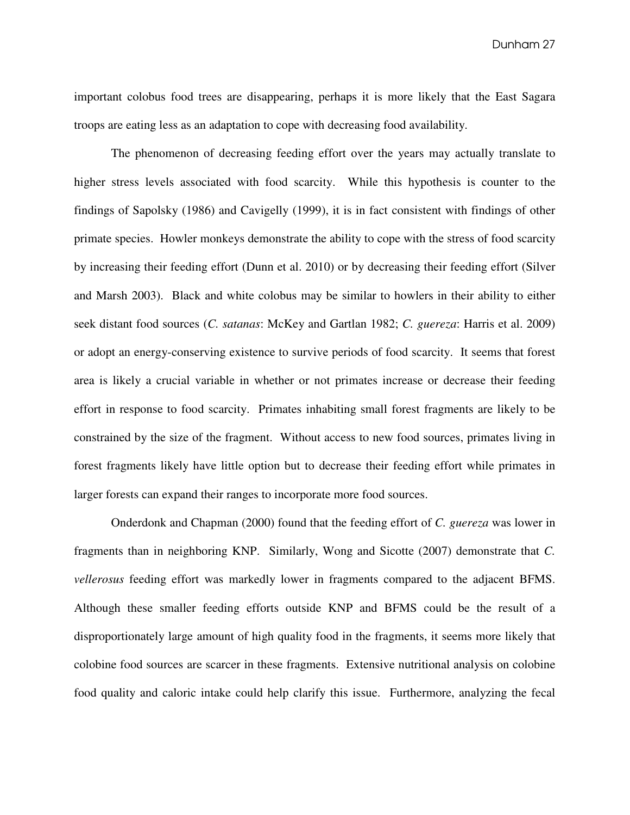important colobus food trees are disappearing, perhaps it is more likely that the East Sagara troops are eating less as an adaptation to cope with decreasing food availability.

The phenomenon of decreasing feeding effort over the years may actually translate to higher stress levels associated with food scarcity. While this hypothesis is counter to the findings of Sapolsky (1986) and Cavigelly (1999), it is in fact consistent with findings of other primate species. Howler monkeys demonstrate the ability to cope with the stress of food scarcity by increasing their feeding effort (Dunn et al. 2010) or by decreasing their feeding effort (Silver and Marsh 2003). Black and white colobus may be similar to howlers in their ability to either seek distant food sources (*C. satanas*: McKey and Gartlan 1982; *C. guereza*: Harris et al. 2009) or adopt an energy-conserving existence to survive periods of food scarcity. It seems that forest area is likely a crucial variable in whether or not primates increase or decrease their feeding effort in response to food scarcity. Primates inhabiting small forest fragments are likely to be constrained by the size of the fragment. Without access to new food sources, primates living in forest fragments likely have little option but to decrease their feeding effort while primates in larger forests can expand their ranges to incorporate more food sources.

Onderdonk and Chapman (2000) found that the feeding effort of *C. guereza* was lower in fragments than in neighboring KNP. Similarly, Wong and Sicotte (2007) demonstrate that *C. vellerosus* feeding effort was markedly lower in fragments compared to the adjacent BFMS. Although these smaller feeding efforts outside KNP and BFMS could be the result of a disproportionately large amount of high quality food in the fragments, it seems more likely that colobine food sources are scarcer in these fragments. Extensive nutritional analysis on colobine food quality and caloric intake could help clarify this issue. Furthermore, analyzing the fecal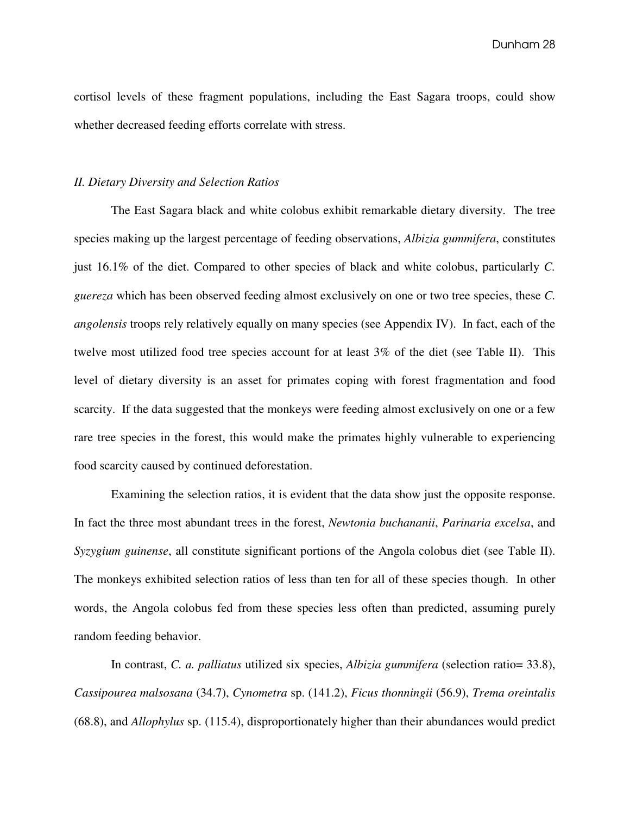cortisol levels of these fragment populations, including the East Sagara troops, could show whether decreased feeding efforts correlate with stress.

#### *II. Dietary Diversity and Selection Ratios*

The East Sagara black and white colobus exhibit remarkable dietary diversity. The tree species making up the largest percentage of feeding observations, *Albizia gummifera*, constitutes just 16.1% of the diet. Compared to other species of black and white colobus, particularly *C. guereza* which has been observed feeding almost exclusively on one or two tree species, these *C. angolensis* troops rely relatively equally on many species (see Appendix IV). In fact, each of the twelve most utilized food tree species account for at least 3% of the diet (see Table II). This level of dietary diversity is an asset for primates coping with forest fragmentation and food scarcity. If the data suggested that the monkeys were feeding almost exclusively on one or a few rare tree species in the forest, this would make the primates highly vulnerable to experiencing food scarcity caused by continued deforestation.

 Examining the selection ratios, it is evident that the data show just the opposite response. In fact the three most abundant trees in the forest, *Newtonia buchananii*, *Parinaria excelsa*, and *Syzygium guinense*, all constitute significant portions of the Angola colobus diet (see Table II). The monkeys exhibited selection ratios of less than ten for all of these species though. In other words, the Angola colobus fed from these species less often than predicted, assuming purely random feeding behavior.

 In contrast, *C. a. palliatus* utilized six species, *Albizia gummifera* (selection ratio= 33.8), *Cassipourea malsosana* (34.7), *Cynometra* sp. (141.2), *Ficus thonningii* (56.9), *Trema oreintalis* (68.8), and *Allophylus* sp. (115.4), disproportionately higher than their abundances would predict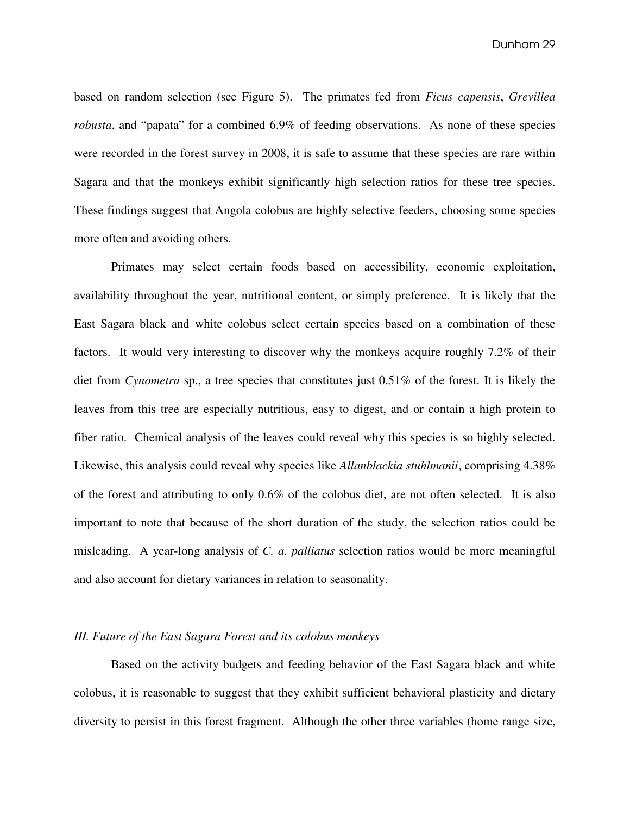based on random selection (see Figure 5). The primates fed from *Ficus capensis*, *Grevillea robusta*, and "papata" for a combined 6.9% of feeding observations. As none of these species were recorded in the forest survey in 2008, it is safe to assume that these species are rare within Sagara and that the monkeys exhibit significantly high selection ratios for these tree species. These findings suggest that Angola colobus are highly selective feeders, choosing some species more often and avoiding others.

 Primates may select certain foods based on accessibility, economic exploitation, availability throughout the year, nutritional content, or simply preference. It is likely that the East Sagara black and white colobus select certain species based on a combination of these factors. It would very interesting to discover why the monkeys acquire roughly 7.2% of their diet from *Cynometra* sp., a tree species that constitutes just 0.51% of the forest. It is likely the leaves from this tree are especially nutritious, easy to digest, and or contain a high protein to fiber ratio. Chemical analysis of the leaves could reveal why this species is so highly selected. Likewise, this analysis could reveal why species like *Allanblackia stuhlmanii*, comprising 4.38% of the forest and attributing to only 0.6% of the colobus diet, are not often selected. It is also important to note that because of the short duration of the study, the selection ratios could be misleading. A year-long analysis of *C. a. palliatus* selection ratios would be more meaningful and also account for dietary variances in relation to seasonality.

#### *III. Future of the East Sagara Forest and its colobus monkeys*

Based on the activity budgets and feeding behavior of the East Sagara black and white colobus, it is reasonable to suggest that they exhibit sufficient behavioral plasticity and dietary diversity to persist in this forest fragment. Although the other three variables (home range size,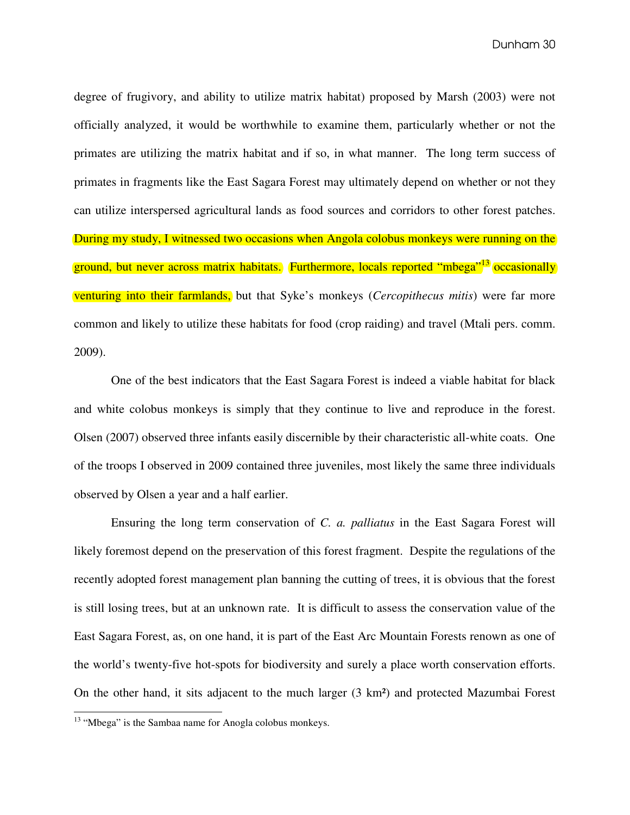degree of frugivory, and ability to utilize matrix habitat) proposed by Marsh (2003) were not officially analyzed, it would be worthwhile to examine them, particularly whether or not the primates are utilizing the matrix habitat and if so, in what manner. The long term success of primates in fragments like the East Sagara Forest may ultimately depend on whether or not they can utilize interspersed agricultural lands as food sources and corridors to other forest patches. During my study, I witnessed two occasions when Angola colobus monkeys were running on the ground, but never across matrix habitats. Furthermore, locals reported "mbega"<sup>13</sup> occasionally venturing into their farmlands, but that Syke's monkeys (*Cercopithecus mitis*) were far more common and likely to utilize these habitats for food (crop raiding) and travel (Mtali pers. comm. 2009).

 One of the best indicators that the East Sagara Forest is indeed a viable habitat for black and white colobus monkeys is simply that they continue to live and reproduce in the forest. Olsen (2007) observed three infants easily discernible by their characteristic all-white coats. One of the troops I observed in 2009 contained three juveniles, most likely the same three individuals observed by Olsen a year and a half earlier.

 Ensuring the long term conservation of *C. a. palliatus* in the East Sagara Forest will likely foremost depend on the preservation of this forest fragment. Despite the regulations of the recently adopted forest management plan banning the cutting of trees, it is obvious that the forest is still losing trees, but at an unknown rate. It is difficult to assess the conservation value of the East Sagara Forest, as, on one hand, it is part of the East Arc Mountain Forests renown as one of the world's twenty-five hot-spots for biodiversity and surely a place worth conservation efforts. On the other hand, it sits adjacent to the much larger (3 km²) and protected Mazumbai Forest

 $\overline{a}$ 

<sup>&</sup>lt;sup>13</sup> "Mbega" is the Sambaa name for Anogla colobus monkeys.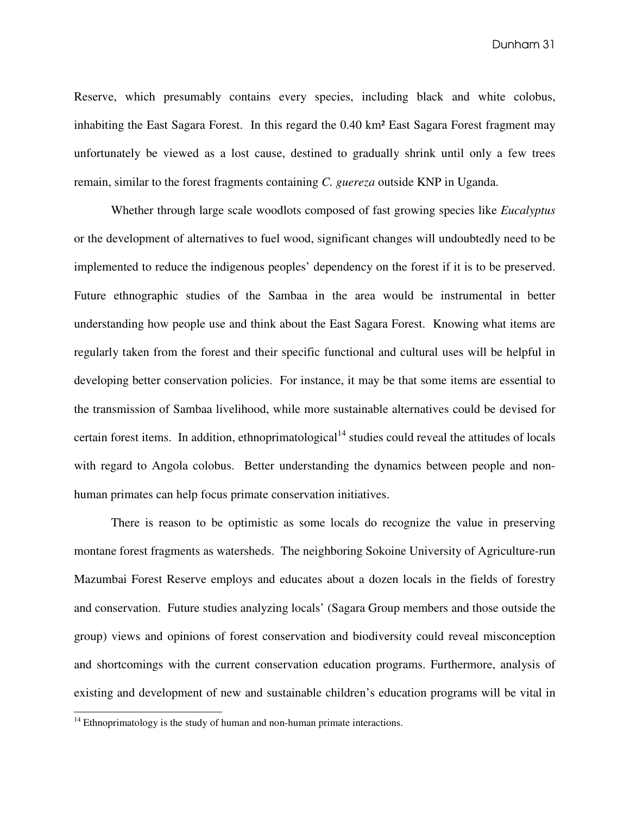Reserve, which presumably contains every species, including black and white colobus, inhabiting the East Sagara Forest. In this regard the 0.40 km² East Sagara Forest fragment may unfortunately be viewed as a lost cause, destined to gradually shrink until only a few trees remain, similar to the forest fragments containing *C. guereza* outside KNP in Uganda.

Whether through large scale woodlots composed of fast growing species like *Eucalyptus* or the development of alternatives to fuel wood, significant changes will undoubtedly need to be implemented to reduce the indigenous peoples' dependency on the forest if it is to be preserved. Future ethnographic studies of the Sambaa in the area would be instrumental in better understanding how people use and think about the East Sagara Forest. Knowing what items are regularly taken from the forest and their specific functional and cultural uses will be helpful in developing better conservation policies. For instance, it may be that some items are essential to the transmission of Sambaa livelihood, while more sustainable alternatives could be devised for certain forest items. In addition, ethnoprimatological<sup>14</sup> studies could reveal the attitudes of locals with regard to Angola colobus. Better understanding the dynamics between people and nonhuman primates can help focus primate conservation initiatives.

There is reason to be optimistic as some locals do recognize the value in preserving montane forest fragments as watersheds. The neighboring Sokoine University of Agriculture-run Mazumbai Forest Reserve employs and educates about a dozen locals in the fields of forestry and conservation. Future studies analyzing locals' (Sagara Group members and those outside the group) views and opinions of forest conservation and biodiversity could reveal misconception and shortcomings with the current conservation education programs. Furthermore, analysis of existing and development of new and sustainable children's education programs will be vital in

 $\overline{a}$ 

 $14$  Ethnoprimatology is the study of human and non-human primate interactions.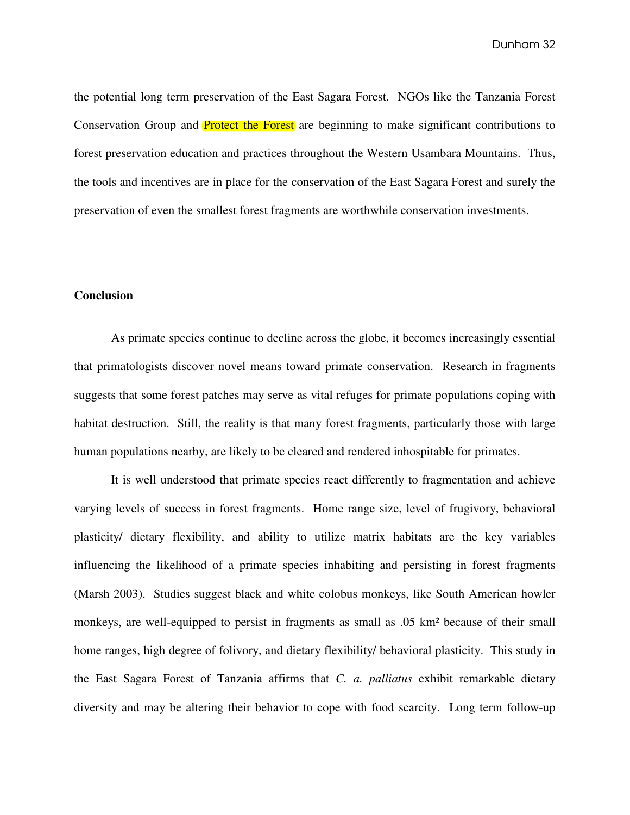the potential long term preservation of the East Sagara Forest. NGOs like the Tanzania Forest Conservation Group and **Protect the Forest** are beginning to make significant contributions to forest preservation education and practices throughout the Western Usambara Mountains. Thus, the tools and incentives are in place for the conservation of the East Sagara Forest and surely the preservation of even the smallest forest fragments are worthwhile conservation investments.

#### **Conclusion**

As primate species continue to decline across the globe, it becomes increasingly essential that primatologists discover novel means toward primate conservation. Research in fragments suggests that some forest patches may serve as vital refuges for primate populations coping with habitat destruction. Still, the reality is that many forest fragments, particularly those with large human populations nearby, are likely to be cleared and rendered inhospitable for primates.

 It is well understood that primate species react differently to fragmentation and achieve varying levels of success in forest fragments. Home range size, level of frugivory, behavioral plasticity/ dietary flexibility, and ability to utilize matrix habitats are the key variables influencing the likelihood of a primate species inhabiting and persisting in forest fragments (Marsh 2003). Studies suggest black and white colobus monkeys, like South American howler monkeys, are well-equipped to persist in fragments as small as .05 km² because of their small home ranges, high degree of folivory, and dietary flexibility/ behavioral plasticity. This study in the East Sagara Forest of Tanzania affirms that *C. a. palliatus* exhibit remarkable dietary diversity and may be altering their behavior to cope with food scarcity. Long term follow-up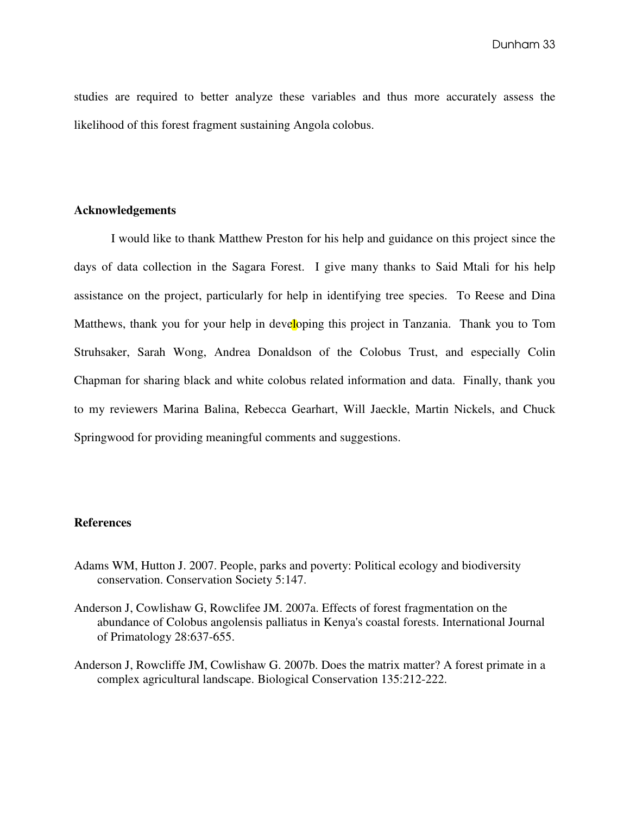studies are required to better analyze these variables and thus more accurately assess the likelihood of this forest fragment sustaining Angola colobus.

#### **Acknowledgements**

I would like to thank Matthew Preston for his help and guidance on this project since the days of data collection in the Sagara Forest. I give many thanks to Said Mtali for his help assistance on the project, particularly for help in identifying tree species. To Reese and Dina Matthews, thank you for your help in developing this project in Tanzania. Thank you to Tom Struhsaker, Sarah Wong, Andrea Donaldson of the Colobus Trust, and especially Colin Chapman for sharing black and white colobus related information and data. Finally, thank you to my reviewers Marina Balina, Rebecca Gearhart, Will Jaeckle, Martin Nickels, and Chuck Springwood for providing meaningful comments and suggestions.

# **References**

- Adams WM, Hutton J. 2007. People, parks and poverty: Political ecology and biodiversity conservation. Conservation Society 5:147.
- Anderson J, Cowlishaw G, Rowclifee JM. 2007a. Effects of forest fragmentation on the abundance of Colobus angolensis palliatus in Kenya's coastal forests. International Journal of Primatology 28:637-655.
- Anderson J, Rowcliffe JM, Cowlishaw G. 2007b. Does the matrix matter? A forest primate in a complex agricultural landscape. Biological Conservation 135:212-222.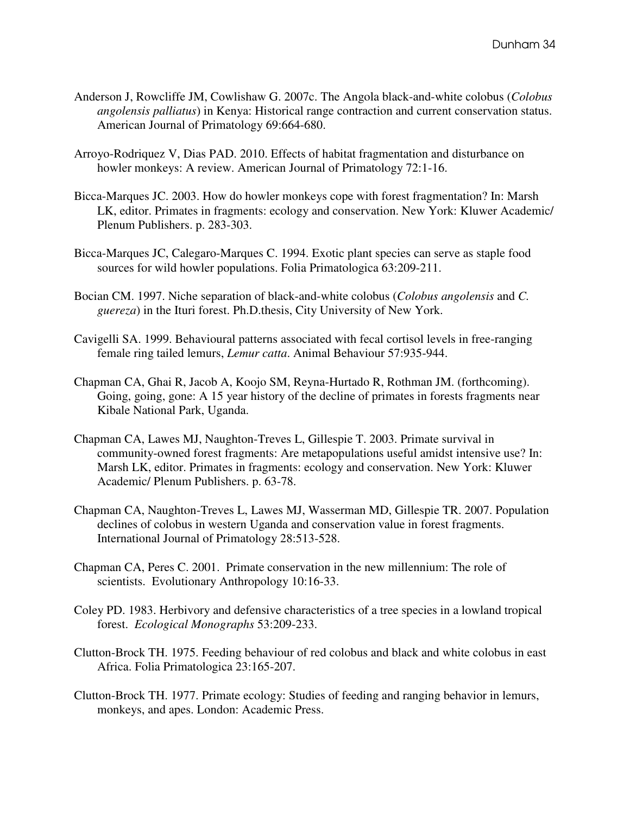- Anderson J, Rowcliffe JM, Cowlishaw G. 2007c. The Angola black-and-white colobus (*Colobus angolensis palliatus*) in Kenya: Historical range contraction and current conservation status. American Journal of Primatology 69:664-680.
- Arroyo-Rodriquez V, Dias PAD. 2010. Effects of habitat fragmentation and disturbance on howler monkeys: A review. American Journal of Primatology 72:1-16.
- Bicca-Marques JC. 2003. How do howler monkeys cope with forest fragmentation? In: Marsh LK, editor. Primates in fragments: ecology and conservation. New York: Kluwer Academic/ Plenum Publishers. p. 283-303.
- Bicca-Marques JC, Calegaro-Marques C. 1994. Exotic plant species can serve as staple food sources for wild howler populations. Folia Primatologica 63:209-211.
- Bocian CM. 1997. Niche separation of black-and-white colobus (*Colobus angolensis* and *C. guereza*) in the Ituri forest. Ph.D.thesis, City University of New York.
- Cavigelli SA. 1999. Behavioural patterns associated with fecal cortisol levels in free-ranging female ring tailed lemurs, *Lemur catta*. Animal Behaviour 57:935-944.
- Chapman CA, Ghai R, Jacob A, Koojo SM, Reyna-Hurtado R, Rothman JM. (forthcoming). Going, going, gone: A 15 year history of the decline of primates in forests fragments near Kibale National Park, Uganda.
- Chapman CA, Lawes MJ, Naughton-Treves L, Gillespie T. 2003. Primate survival in community-owned forest fragments: Are metapopulations useful amidst intensive use? In: Marsh LK, editor. Primates in fragments: ecology and conservation. New York: Kluwer Academic/ Plenum Publishers. p. 63-78.
- Chapman CA, Naughton-Treves L, Lawes MJ, Wasserman MD, Gillespie TR. 2007. Population declines of colobus in western Uganda and conservation value in forest fragments. International Journal of Primatology 28:513-528.
- Chapman CA, Peres C. 2001. Primate conservation in the new millennium: The role of scientists. Evolutionary Anthropology 10:16-33.
- Coley PD. 1983. Herbivory and defensive characteristics of a tree species in a lowland tropical forest. *Ecological Monographs* 53:209-233.
- Clutton-Brock TH. 1975. Feeding behaviour of red colobus and black and white colobus in east Africa. Folia Primatologica 23:165-207.
- Clutton-Brock TH. 1977. Primate ecology: Studies of feeding and ranging behavior in lemurs, monkeys, and apes. London: Academic Press.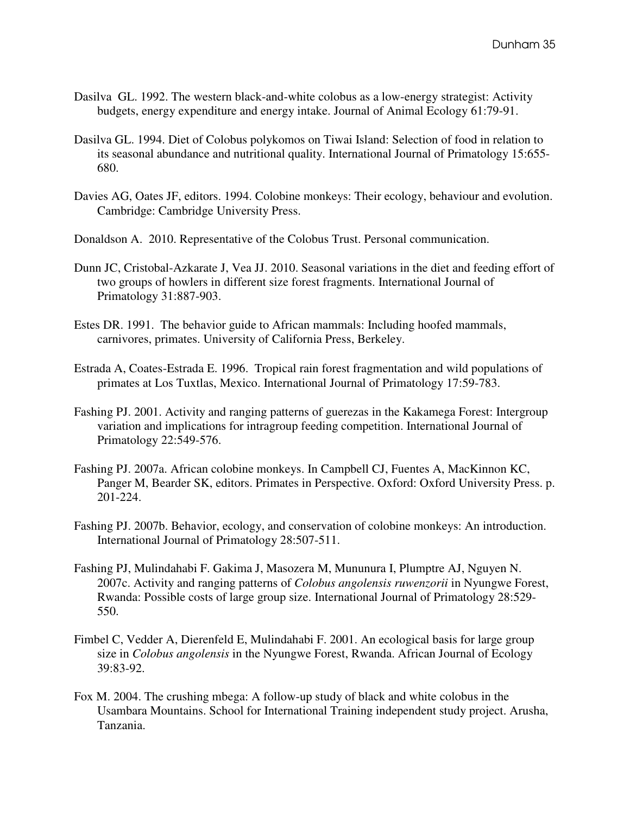- Dasilva GL. 1992. The western black-and-white colobus as a low-energy strategist: Activity budgets, energy expenditure and energy intake. Journal of Animal Ecology 61:79-91.
- Dasilva GL. 1994. Diet of Colobus polykomos on Tiwai Island: Selection of food in relation to its seasonal abundance and nutritional quality. International Journal of Primatology 15:655- 680.
- Davies AG, Oates JF, editors. 1994. Colobine monkeys: Their ecology, behaviour and evolution. Cambridge: Cambridge University Press.
- Donaldson A. 2010. Representative of the Colobus Trust. Personal communication.
- Dunn JC, Cristobal-Azkarate J, Vea JJ. 2010. Seasonal variations in the diet and feeding effort of two groups of howlers in different size forest fragments. International Journal of Primatology 31:887-903.
- Estes DR. 1991. The behavior guide to African mammals: Including hoofed mammals, carnivores, primates. University of California Press, Berkeley.
- Estrada A, Coates-Estrada E. 1996. Tropical rain forest fragmentation and wild populations of primates at Los Tuxtlas, Mexico. International Journal of Primatology 17:59-783.
- Fashing PJ. 2001. Activity and ranging patterns of guerezas in the Kakamega Forest: Intergroup variation and implications for intragroup feeding competition. International Journal of Primatology 22:549-576.
- Fashing PJ. 2007a. African colobine monkeys. In Campbell CJ, Fuentes A, MacKinnon KC, Panger M, Bearder SK, editors. Primates in Perspective. Oxford: Oxford University Press. p. 201-224.
- Fashing PJ. 2007b. Behavior, ecology, and conservation of colobine monkeys: An introduction. International Journal of Primatology 28:507-511.
- Fashing PJ, Mulindahabi F. Gakima J, Masozera M, Mununura I, Plumptre AJ, Nguyen N. 2007c. Activity and ranging patterns of *Colobus angolensis ruwenzorii* in Nyungwe Forest, Rwanda: Possible costs of large group size. International Journal of Primatology 28:529- 550.
- Fimbel C, Vedder A, Dierenfeld E, Mulindahabi F. 2001. An ecological basis for large group size in *Colobus angolensis* in the Nyungwe Forest, Rwanda. African Journal of Ecology 39:83-92.
- Fox M. 2004. The crushing mbega: A follow-up study of black and white colobus in the Usambara Mountains. School for International Training independent study project. Arusha, Tanzania.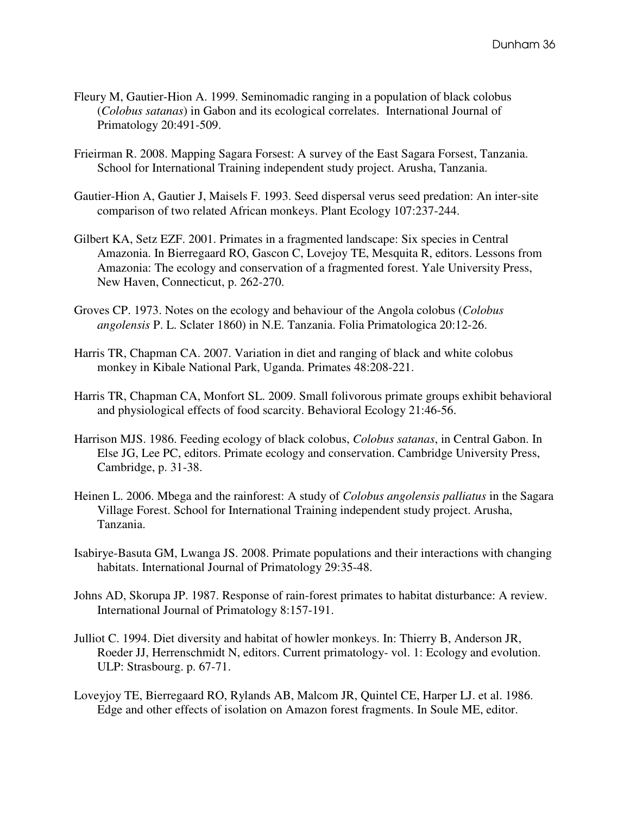- Fleury M, Gautier-Hion A. 1999. Seminomadic ranging in a population of black colobus (*Colobus satanas*) in Gabon and its ecological correlates. International Journal of Primatology 20:491-509.
- Frieirman R. 2008. Mapping Sagara Forsest: A survey of the East Sagara Forsest, Tanzania. School for International Training independent study project. Arusha, Tanzania.
- Gautier-Hion A, Gautier J, Maisels F. 1993. Seed dispersal verus seed predation: An inter-site comparison of two related African monkeys. Plant Ecology 107:237-244.
- Gilbert KA, Setz EZF. 2001. Primates in a fragmented landscape: Six species in Central Amazonia. In Bierregaard RO, Gascon C, Lovejoy TE, Mesquita R, editors. Lessons from Amazonia: The ecology and conservation of a fragmented forest. Yale University Press, New Haven, Connecticut, p. 262-270.
- Groves CP. 1973. Notes on the ecology and behaviour of the Angola colobus (*Colobus angolensis* P. L. Sclater 1860) in N.E. Tanzania. Folia Primatologica 20:12-26.
- Harris TR, Chapman CA. 2007. Variation in diet and ranging of black and white colobus monkey in Kibale National Park, Uganda. Primates 48:208-221.
- Harris TR, Chapman CA, Monfort SL. 2009. Small folivorous primate groups exhibit behavioral and physiological effects of food scarcity. Behavioral Ecology 21:46-56.
- Harrison MJS. 1986. Feeding ecology of black colobus, *Colobus satanas*, in Central Gabon. In Else JG, Lee PC, editors. Primate ecology and conservation. Cambridge University Press, Cambridge, p. 31-38.
- Heinen L. 2006. Mbega and the rainforest: A study of *Colobus angolensis palliatus* in the Sagara Village Forest. School for International Training independent study project. Arusha, Tanzania.
- Isabirye-Basuta GM, Lwanga JS. 2008. Primate populations and their interactions with changing habitats. International Journal of Primatology 29:35-48.
- Johns AD, Skorupa JP. 1987. Response of rain-forest primates to habitat disturbance: A review. International Journal of Primatology 8:157-191.
- Julliot C. 1994. Diet diversity and habitat of howler monkeys. In: Thierry B, Anderson JR, Roeder JJ, Herrenschmidt N, editors. Current primatology- vol. 1: Ecology and evolution. ULP: Strasbourg. p. 67-71.
- Loveyjoy TE, Bierregaard RO, Rylands AB, Malcom JR, Quintel CE, Harper LJ. et al. 1986. Edge and other effects of isolation on Amazon forest fragments. In Soule ME, editor.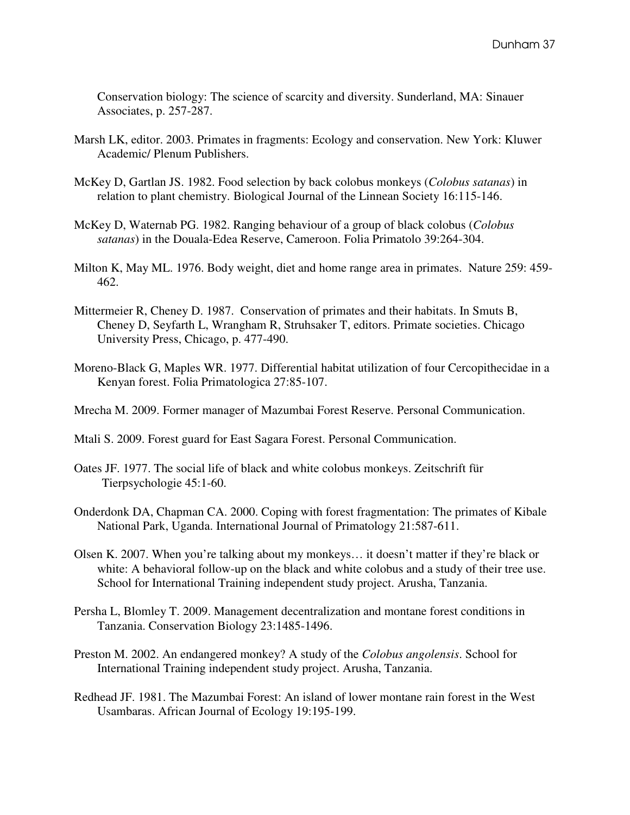Conservation biology: The science of scarcity and diversity. Sunderland, MA: Sinauer Associates, p. 257-287.

- Marsh LK, editor. 2003. Primates in fragments: Ecology and conservation. New York: Kluwer Academic/ Plenum Publishers.
- McKey D, Gartlan JS. 1982. Food selection by back colobus monkeys (*Colobus satanas*) in relation to plant chemistry. Biological Journal of the Linnean Society 16:115-146.
- McKey D, Waternab PG. 1982. Ranging behaviour of a group of black colobus (*Colobus satanas*) in the Douala-Edea Reserve, Cameroon. Folia Primatolo 39:264-304.
- Milton K, May ML. 1976. Body weight, diet and home range area in primates. Nature 259: 459- 462.
- Mittermeier R, Cheney D. 1987. Conservation of primates and their habitats. In Smuts B, Cheney D, Seyfarth L, Wrangham R, Struhsaker T, editors. Primate societies. Chicago University Press, Chicago, p. 477-490.
- Moreno-Black G, Maples WR. 1977. Differential habitat utilization of four Cercopithecidae in a Kenyan forest. Folia Primatologica 27:85-107.
- Mrecha M. 2009. Former manager of Mazumbai Forest Reserve. Personal Communication.
- Mtali S. 2009. Forest guard for East Sagara Forest. Personal Communication.
- Oates JF. 1977. The social life of black and white colobus monkeys. Zeitschrift für Tierpsychologie 45:1-60.
- Onderdonk DA, Chapman CA. 2000. Coping with forest fragmentation: The primates of Kibale National Park, Uganda. International Journal of Primatology 21:587-611.
- Olsen K. 2007. When you're talking about my monkeys… it doesn't matter if they're black or white: A behavioral follow-up on the black and white colobus and a study of their tree use. School for International Training independent study project. Arusha, Tanzania.
- Persha L, Blomley T. 2009. Management decentralization and montane forest conditions in Tanzania. Conservation Biology 23:1485-1496.
- Preston M. 2002. An endangered monkey? A study of the *Colobus angolensis*. School for International Training independent study project. Arusha, Tanzania.
- Redhead JF. 1981. The Mazumbai Forest: An island of lower montane rain forest in the West Usambaras. African Journal of Ecology 19:195-199.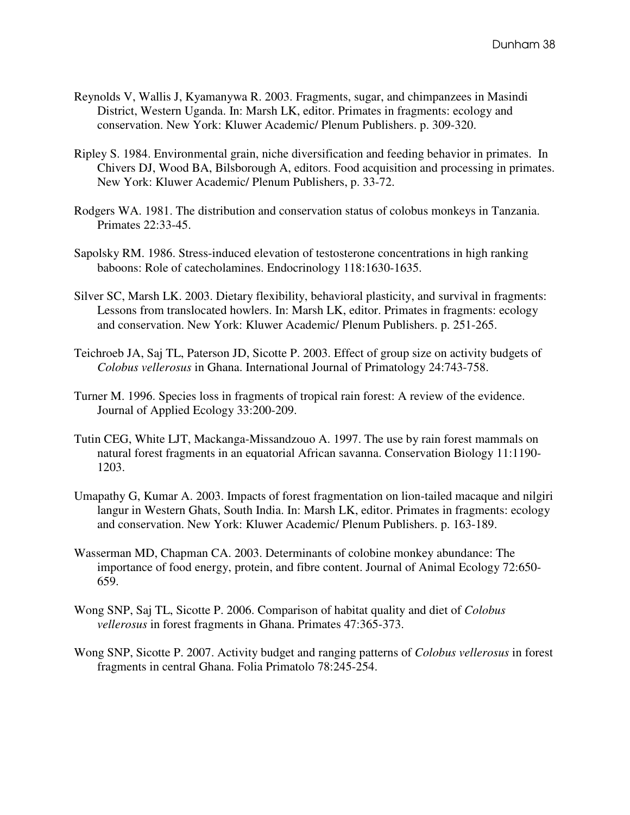- Reynolds V, Wallis J, Kyamanywa R. 2003. Fragments, sugar, and chimpanzees in Masindi District, Western Uganda. In: Marsh LK, editor. Primates in fragments: ecology and conservation. New York: Kluwer Academic/ Plenum Publishers. p. 309-320.
- Ripley S. 1984. Environmental grain, niche diversification and feeding behavior in primates. In Chivers DJ, Wood BA, Bilsborough A, editors. Food acquisition and processing in primates. New York: Kluwer Academic/ Plenum Publishers, p. 33-72.
- Rodgers WA. 1981. The distribution and conservation status of colobus monkeys in Tanzania. Primates 22:33-45.
- Sapolsky RM. 1986. Stress-induced elevation of testosterone concentrations in high ranking baboons: Role of catecholamines. Endocrinology 118:1630-1635.
- Silver SC, Marsh LK. 2003. Dietary flexibility, behavioral plasticity, and survival in fragments: Lessons from translocated howlers. In: Marsh LK, editor. Primates in fragments: ecology and conservation. New York: Kluwer Academic/ Plenum Publishers. p. 251-265.
- Teichroeb JA, Saj TL, Paterson JD, Sicotte P. 2003. Effect of group size on activity budgets of *Colobus vellerosus* in Ghana. International Journal of Primatology 24:743-758.
- Turner M. 1996. Species loss in fragments of tropical rain forest: A review of the evidence. Journal of Applied Ecology 33:200-209.
- Tutin CEG, White LJT, Mackanga-Missandzouo A. 1997. The use by rain forest mammals on natural forest fragments in an equatorial African savanna. Conservation Biology 11:1190- 1203.
- Umapathy G, Kumar A. 2003. Impacts of forest fragmentation on lion-tailed macaque and nilgiri langur in Western Ghats, South India. In: Marsh LK, editor. Primates in fragments: ecology and conservation. New York: Kluwer Academic/ Plenum Publishers. p. 163-189.
- Wasserman MD, Chapman CA. 2003. Determinants of colobine monkey abundance: The importance of food energy, protein, and fibre content. Journal of Animal Ecology 72:650- 659.
- Wong SNP, Saj TL, Sicotte P. 2006. Comparison of habitat quality and diet of *Colobus vellerosus* in forest fragments in Ghana. Primates 47:365-373.
- Wong SNP, Sicotte P. 2007. Activity budget and ranging patterns of *Colobus vellerosus* in forest fragments in central Ghana. Folia Primatolo 78:245-254.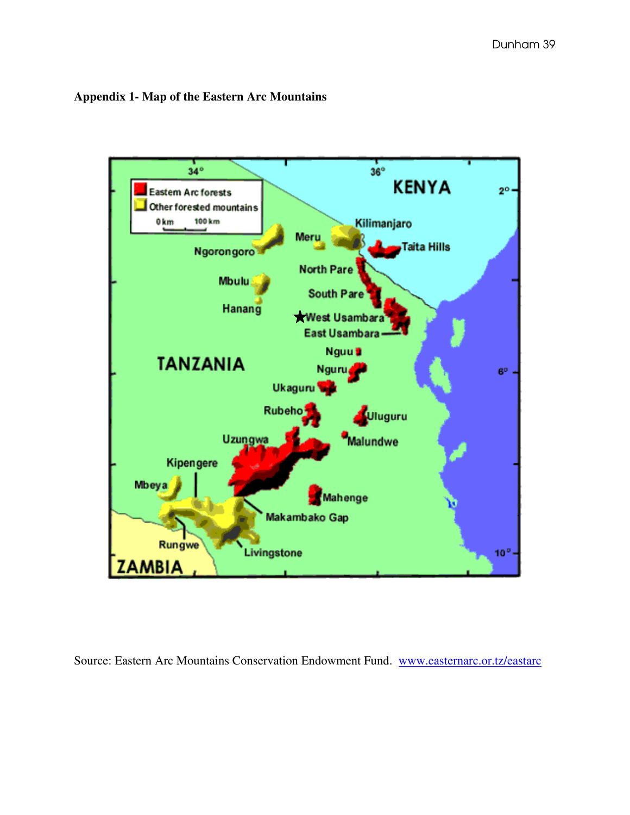**Appendix 1- Map of the Eastern Arc Mountains** 



Source: Eastern Arc Mountains Conservation Endowment Fund. www.easternarc.or.tz/eastarc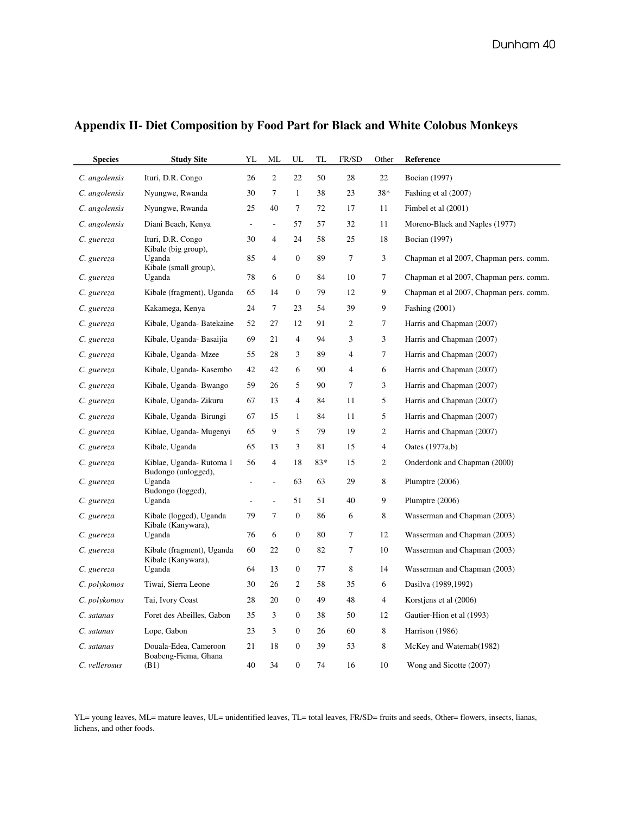| <b>Species</b> | <b>Study Site</b>                               | YL                       | ML                       | UL               | TL    | FR/SD | Other          | Reference                               |
|----------------|-------------------------------------------------|--------------------------|--------------------------|------------------|-------|-------|----------------|-----------------------------------------|
| C. angolensis  | Ituri, D.R. Congo                               | 26                       | $\overline{c}$           | 22               | 50    | 28    | 22             | Bocian (1997)                           |
| C. angolensis  | Nyungwe, Rwanda                                 | 30                       | $\tau$                   | $\mathbf{1}$     | 38    | 23    | 38*            | Fashing et al (2007)                    |
| C. angolensis  | Nyungwe, Rwanda                                 | 25                       | 40                       | 7                | 72    | 17    | 11             | Fimbel et al (2001)                     |
| C. angolensis  | Diani Beach, Kenya                              | $\overline{\phantom{a}}$ | $\frac{1}{2}$            | 57               | 57    | 32    | 11             | Moreno-Black and Naples (1977)          |
| C. guereza     | Ituri, D.R. Congo<br>Kibale (big group),        | 30                       | 4                        | 24               | 58    | 25    | 18             | Bocian (1997)                           |
| C. guereza     | Uganda<br>Kibale (small group),                 | 85                       | 4                        | $\boldsymbol{0}$ | 89    | 7     | 3              | Chapman et al 2007, Chapman pers. comm. |
| C. guereza     | Uganda                                          | 78                       | 6                        | $\boldsymbol{0}$ | 84    | 10    | 7              | Chapman et al 2007, Chapman pers. comm. |
| C. guereza     | Kibale (fragment), Uganda                       | 65                       | 14                       | $\mathbf{0}$     | 79    | 12    | 9              | Chapman et al 2007, Chapman pers. comm. |
| C. guereza     | Kakamega, Kenya                                 | 24                       | 7                        | 23               | 54    | 39    | 9              | Fashing $(2001)$                        |
| C. guereza     | Kibale, Uganda- Batekaine                       | 52                       | 27                       | 12               | 91    | 2     | $\tau$         | Harris and Chapman (2007)               |
| C. guereza     | Kibale, Uganda-Basaijia                         | 69                       | 21                       | 4                | 94    | 3     | 3              | Harris and Chapman (2007)               |
| C. guereza     | Kibale, Uganda- Mzee                            | 55                       | 28                       | 3                | 89    | 4     | 7              | Harris and Chapman (2007)               |
| C. guereza     | Kibale, Uganda- Kasembo                         | 42                       | 42                       | 6                | 90    | 4     | 6              | Harris and Chapman (2007)               |
| C. guereza     | Kibale, Uganda-Bwango                           | 59                       | 26                       | 5                | 90    | 7     | 3              | Harris and Chapman (2007)               |
| C. guereza     | Kibale, Uganda- Zikuru                          | 67                       | 13                       | $\overline{4}$   | 84    | 11    | 5              | Harris and Chapman (2007)               |
| C. guereza     | Kibale, Uganda- Birungi                         | 67                       | 15                       | $\mathbf{1}$     | 84    | 11    | 5              | Harris and Chapman (2007)               |
| C. guereza     | Kiblae, Uganda- Mugenyi                         | 65                       | 9                        | 5                | 79    | 19    | $\overline{c}$ | Harris and Chapman (2007)               |
| C. guereza     | Kibale, Uganda                                  | 65                       | 13                       | 3                | 81    | 15    | $\overline{4}$ | Oates (1977a,b)                         |
| C. guereza     | Kiblae, Uganda- Rutoma 1<br>Budongo (unlogged), | 56                       | $\overline{4}$           | 18               | $83*$ | 15    | 2              | Onderdonk and Chapman (2000)            |
| C. guereza     | Uganda<br>Budongo (logged),                     | L,                       | $\overline{a}$           | 63               | 63    | 29    | 8              | Plumptre $(2006)$                       |
| C. guereza     | Uganda                                          | ÷,                       | $\overline{\phantom{a}}$ | 51               | 51    | 40    | 9              | Plumptre (2006)                         |
| C. guereza     | Kibale (logged), Uganda<br>Kibale (Kanywara),   | 79                       | 7                        | $\boldsymbol{0}$ | 86    | 6     | 8              | Wasserman and Chapman (2003)            |
| C. guereza     | Uganda                                          | 76                       | 6                        | $\boldsymbol{0}$ | 80    | 7     | 12             | Wasserman and Chapman (2003)            |
| C. guereza     | Kibale (fragment), Uganda<br>Kibale (Kanywara), | 60                       | 22                       | $\mathbf{0}$     | 82    | 7     | 10             | Wasserman and Chapman (2003)            |
| C. guereza     | Uganda                                          | 64                       | 13                       | $\boldsymbol{0}$ | 77    | 8     | 14             | Wasserman and Chapman (2003)            |
| C. polykomos   | Tiwai, Sierra Leone                             | 30                       | 26                       | $\overline{c}$   | 58    | 35    | 6              | Dasilva (1989,1992)                     |
| C. polykomos   | Tai, Ivory Coast                                | 28                       | 20                       | $\boldsymbol{0}$ | 49    | 48    | $\overline{4}$ | Korstjens et al (2006)                  |
| C. satanas     | Foret des Abeilles, Gabon                       | 35                       | 3                        | $\boldsymbol{0}$ | 38    | 50    | 12             | Gautier-Hion et al (1993)               |
| C. satanas     | Lope, Gabon                                     | 23                       | 3                        | $\boldsymbol{0}$ | 26    | 60    | 8              | Harrison (1986)                         |
| C. satanas     | Douala-Edea, Cameroon                           | 21                       | 18                       | $\mathbf{0}$     | 39    | 53    | 8              | McKey and Waternab(1982)                |
| C. vellerosus  | Boabeng-Fiema, Ghana<br>(B1)                    | 40                       | 34                       | $\boldsymbol{0}$ | 74    | 16    | 10             | Wong and Sicotte (2007)                 |

# **Appendix II- Diet Composition by Food Part for Black and White Colobus Monkeys**

YL= young leaves, ML= mature leaves, UL= unidentified leaves, TL= total leaves, FR/SD= fruits and seeds, Other= flowers, insects, lianas, lichens, and other foods.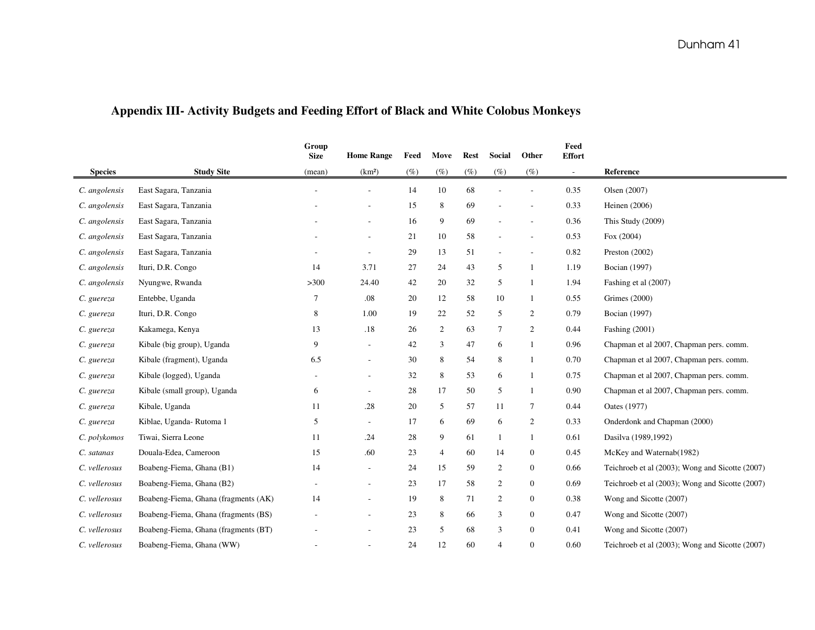|                |                                      | Group<br><b>Size</b> | <b>Home Range</b>        | Feed   | Move           | Rest   | Social           | Other                    | Feed<br><b>Effort</b>    |                                                 |
|----------------|--------------------------------------|----------------------|--------------------------|--------|----------------|--------|------------------|--------------------------|--------------------------|-------------------------------------------------|
| <b>Species</b> | <b>Study Site</b>                    | (mean)               | (km <sup>2</sup> )       | $(\%)$ | $(\%)$         | $(\%)$ | $(\%)$           | $(\%)$                   | $\overline{\phantom{a}}$ | Reference                                       |
| C. angolensis  | East Sagara, Tanzania                |                      |                          | 14     | 10             | 68     |                  | $\overline{\phantom{a}}$ | 0.35                     | Olsen (2007)                                    |
| C. angolensis  | East Sagara, Tanzania                |                      |                          | 15     | $\,8\,$        | 69     |                  | $\overline{\phantom{a}}$ | 0.33                     | Heinen (2006)                                   |
| C. angolensis  | East Sagara, Tanzania                |                      |                          | 16     | 9              | 69     |                  | ÷,                       | 0.36                     | This Study (2009)                               |
| C. angolensis  | East Sagara, Tanzania                |                      |                          | 21     | 10             | 58     |                  | $\overline{\phantom{a}}$ | 0.53                     | Fox (2004)                                      |
| C. angolensis  | East Sagara, Tanzania                |                      | $\sim$                   | 29     | 13             | 51     |                  | $\sim$                   | 0.82                     | Preston $(2002)$                                |
| C. angolensis  | Ituri, D.R. Congo                    | 14                   | 3.71                     | 27     | 24             | 43     | 5                |                          | 1.19                     | Bocian (1997)                                   |
| C. angolensis  | Nyungwe, Rwanda                      | >300                 | 24.40                    | 42     | 20             | 32     | 5                |                          | 1.94                     | Fashing et al (2007)                            |
| C. guereza     | Entebbe, Uganda                      | 7                    | .08                      | 20     | 12             | 58     | 10               |                          | 0.55                     | Grimes (2000)                                   |
| C. guereza     | Ituri, D.R. Congo                    | 8                    | 1.00                     | 19     | 22             | 52     | 5                | $\overline{2}$           | 0.79                     | <b>Bocian</b> (1997)                            |
| C. guereza     | Kakamega, Kenya                      | 13                   | .18                      | 26     | $\overline{2}$ | 63     | $\tau$           | 2                        | 0.44                     | Fashing (2001)                                  |
| C. guereza     | Kibale (big group), Uganda           | 9                    | $\overline{\phantom{a}}$ | 42     | 3              | 47     | 6                |                          | 0.96                     | Chapman et al 2007, Chapman pers. comm.         |
| C. guereza     | Kibale (fragment), Uganda            | 6.5                  |                          | 30     | 8              | 54     | 8                |                          | 0.70                     | Chapman et al 2007, Chapman pers. comm.         |
| C. guereza     | Kibale (logged), Uganda              |                      | $\overline{\phantom{a}}$ | 32     | $\,8\,$        | 53     | 6                |                          | 0.75                     | Chapman et al 2007, Chapman pers. comm.         |
| C. guereza     | Kibale (small group), Uganda         | 6                    | $\sim$                   | 28     | 17             | 50     | 5                |                          | 0.90                     | Chapman et al 2007, Chapman pers. comm.         |
| C. guereza     | Kibale, Uganda                       | 11                   | .28                      | 20     | 5              | 57     | 11               | 7                        | 0.44                     | Oates (1977)                                    |
| C. guereza     | Kiblae, Uganda-Rutoma 1              | 5                    | $\sim$                   | 17     | 6              | 69     | 6                | $\overline{2}$           | 0.33                     | Onderdonk and Chapman (2000)                    |
| C. polykomos   | Tiwai, Sierra Leone                  | 11                   | .24                      | 28     | 9              | 61     | $\mathbf{1}$     |                          | 0.61                     | Dasilva (1989,1992)                             |
| C. satanas     | Douala-Edea, Cameroon                | 15                   | .60                      | 23     | $\overline{4}$ | 60     | 14               | $\boldsymbol{0}$         | 0.45                     | McKey and Waternab(1982)                        |
| C. vellerosus  | Boabeng-Fiema, Ghana (B1)            | 14                   | $\sim$                   | 24     | 15             | 59     | $\boldsymbol{2}$ | $\overline{0}$           | 0.66                     | Teichroeb et al (2003); Wong and Sicotte (2007) |
| C. vellerosus  | Boabeng-Fiema, Ghana (B2)            |                      | $\overline{\phantom{a}}$ | 23     | 17             | 58     | $\sqrt{2}$       | $\overline{0}$           | 0.69                     | Teichroeb et al (2003); Wong and Sicotte (2007) |
| C. vellerosus  | Boabeng-Fiema, Ghana (fragments (AK) | 14                   |                          | 19     | 8              | 71     | $\overline{c}$   | $\overline{0}$           | 0.38                     | Wong and Sicotte (2007)                         |
| C. vellerosus  | Boabeng-Fiema, Ghana (fragments (BS) |                      |                          | 23     | $\,8\,$        | 66     | 3                | $\overline{0}$           | 0.47                     | Wong and Sicotte (2007)                         |
| C. vellerosus  | Boabeng-Fiema, Ghana (fragments (BT) |                      |                          | 23     | 5              | 68     | 3                | $\overline{0}$           | 0.41                     | Wong and Sicotte (2007)                         |
| C. vellerosus  | Boabeng-Fiema, Ghana (WW)            |                      |                          | 24     | 12             | 60     | $\overline{4}$   | $\mathbf{0}$             | 0.60                     | Teichroeb et al (2003); Wong and Sicotte (2007) |

# **Appendix III- Activity Budgets and Feeding Effort of Black and White Colobus Monkeys**